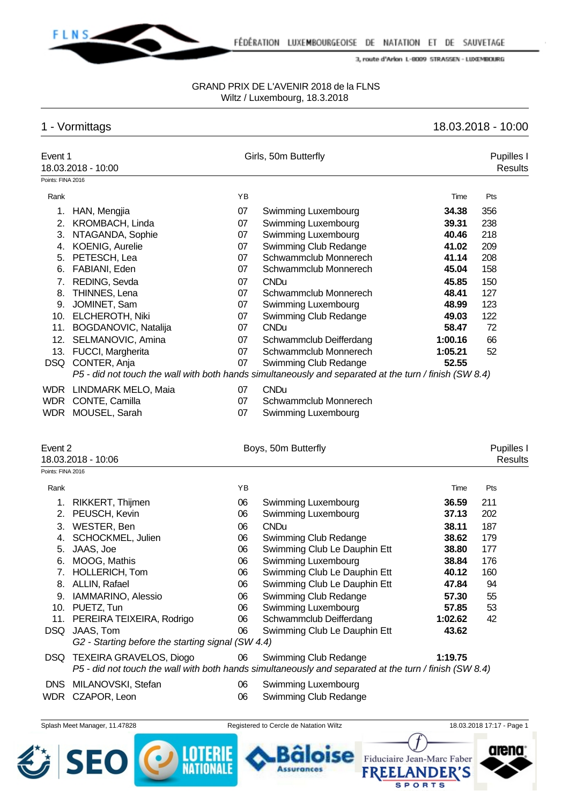

#### GRAND PRIX DE L'AVENIR 2018 de la FLNS Wiltz / Luxembourg, 18.3.2018

**卷 SEO** 

**ED LOTERIE** 

# 1 - Vormittags 18.03.2018 - 10:00

arena

Fiduciaire Jean-Marc Faber

**SPORTS** 

**FREEL** 

**ANDER'S** 

oise

**Assurances** 

| Event 1           | 18.03.2018 - 10:00                                |    | Girls, 50m Butterfly                                                                                   |         | Pupilles I<br><b>Results</b> |
|-------------------|---------------------------------------------------|----|--------------------------------------------------------------------------------------------------------|---------|------------------------------|
| Points: FINA 2016 |                                                   |    |                                                                                                        |         |                              |
| Rank              |                                                   | YB |                                                                                                        | Time    | Pts                          |
|                   | 1. HAN, Mengjia                                   | 07 | Swimming Luxembourg                                                                                    | 34.38   | 356                          |
| 2.                | KROMBACH, Linda                                   | 07 | Swimming Luxembourg                                                                                    | 39.31   | 238                          |
| 3.                | NTAGANDA, Sophie                                  | 07 | Swimming Luxembourg                                                                                    | 40.46   | 218                          |
| 4.                | <b>KOENIG, Aurelie</b>                            | 07 | Swimming Club Redange                                                                                  | 41.02   | 209                          |
| 5.                | PETESCH, Lea                                      | 07 | Schwammclub Monnerech                                                                                  | 41.14   | 208                          |
| 6.                | FABIANI, Eden                                     | 07 | Schwammclub Monnerech                                                                                  | 45.04   | 158                          |
| 7.                | REDING, Sevda                                     | 07 | <b>CNDu</b>                                                                                            | 45.85   | 150                          |
| 8.                | THINNES, Lena                                     | 07 | Schwammclub Monnerech                                                                                  | 48.41   | 127                          |
|                   | 9. JOMINET, Sam                                   | 07 | Swimming Luxembourg                                                                                    | 48.99   | 123                          |
|                   | 10. ELCHEROTH, Niki                               | 07 | Swimming Club Redange                                                                                  | 49.03   | 122                          |
|                   | 11. BOGDANOVIC, Natalija                          | 07 | <b>CNDu</b>                                                                                            | 58.47   | 72                           |
|                   | 12. SELMANOVIC, Amina                             | 07 | Schwammclub Deifferdang                                                                                | 1:00.16 | 66                           |
|                   | 13. FUCCI, Margherita                             | 07 | Schwammclub Monnerech                                                                                  | 1:05.21 | 52                           |
|                   | DSQ CONTER, Anja                                  | 07 | Swimming Club Redange                                                                                  | 52.55   |                              |
|                   |                                                   |    | P5 - did not touch the wall with both hands simultaneously and separated at the turn / finish (SW 8.4) |         |                              |
|                   | WDR LINDMARK MELO, Maia                           | 07 | <b>CNDu</b>                                                                                            |         |                              |
|                   | WDR CONTE, Camilla                                | 07 | Schwammclub Monnerech                                                                                  |         |                              |
|                   | WDR MOUSEL, Sarah                                 | 07 | Swimming Luxembourg                                                                                    |         |                              |
| Event 2           |                                                   |    | Boys, 50m Butterfly                                                                                    |         | Pupilles I                   |
|                   | 18.03.2018 - 10:06                                |    |                                                                                                        |         | <b>Results</b>               |
| Points: FINA 2016 |                                                   |    |                                                                                                        |         |                              |
| Rank              |                                                   | YB |                                                                                                        | Time    | Pts                          |
|                   | 1. RIKKERT, Thijmen                               | 06 | Swimming Luxembourg                                                                                    | 36.59   | 211                          |
| 2.                | PEUSCH, Kevin                                     | 06 | Swimming Luxembourg                                                                                    | 37.13   | 202                          |
| 3.                | WESTER, Ben                                       | 06 | <b>CNDu</b>                                                                                            | 38.11   | 187                          |
| 4.                | SCHOCKMEL, Julien                                 | 06 | Swimming Club Redange                                                                                  | 38.62   | 179                          |
| 5.                | JAAS, Joe                                         | 06 | Swimming Club Le Dauphin Ett                                                                           | 38.80   | 177                          |
| 6.                | MOOG, Mathis                                      | 06 | Swimming Luxembourg                                                                                    | 38.84   | 176                          |
|                   | 7. HOLLERICH, Tom                                 | 06 | Swimming Club Le Dauphin Ett                                                                           | 40.12   | 160                          |
| 8.                | ALLIN, Rafael                                     | 06 | Swimming Club Le Dauphin Ett                                                                           | 47.84   | 94                           |
| 9.                | IAMMARINO, Alessio                                | 06 | Swimming Club Redange                                                                                  | 57.30   | 55                           |
|                   | 10. PUETZ, Tun                                    | 06 | Swimming Luxembourg                                                                                    | 57.85   | 53                           |
|                   | 11. PEREIRA TEIXEIRA, Rodrigo                     | 06 | Schwammclub Deifferdang                                                                                | 1:02.62 | 42                           |
|                   | DSQ JAAS, Tom                                     | 06 | Swimming Club Le Dauphin Ett                                                                           | 43.62   |                              |
|                   | G2 - Starting before the starting signal (SW 4.4) |    |                                                                                                        |         |                              |
|                   | DSQ TEXEIRA GRAVELOS, Diogo                       | 06 | Swimming Club Redange                                                                                  | 1:19.75 |                              |
|                   |                                                   |    | P5 - did not touch the wall with both hands simultaneously and separated at the turn / finish (SW 8.4) |         |                              |
|                   | DNS MILANOVSKI, Stefan                            | 06 | Swimming Luxembourg                                                                                    |         |                              |
|                   | WDR CZAPOR, Leon                                  | 06 | Swimming Club Redange                                                                                  |         |                              |
|                   | Splash Meet Manager, 11.47828                     |    | Registered to Cercle de Natation Wiltz                                                                 |         | 18.03.2018 17:17 - Page 1    |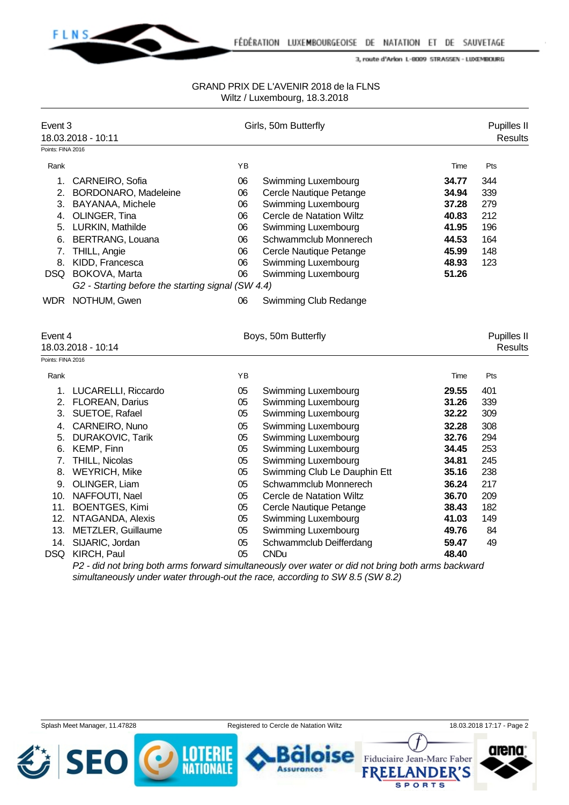

## GRAND PRIX DE L'AVENIR 2018 de la FLNS Wiltz / Luxembourg, 18.3.2018

| Event 3<br>18.03.2018 - 10:11 |                                                                  |    | Girls, 50m Butterfly                                        |                           |                               |  |
|-------------------------------|------------------------------------------------------------------|----|-------------------------------------------------------------|---------------------------|-------------------------------|--|
| Points: FINA 2016             |                                                                  |    |                                                             |                           |                               |  |
| Rank                          |                                                                  | YB |                                                             | Time                      | Pts                           |  |
|                               | 1. CARNEIRO, Sofia                                               | 06 | Swimming Luxembourg                                         | 34.77                     | 344                           |  |
|                               | 2. BORDONARO, Madeleine                                          | 06 | Cercle Nautique Petange                                     | 34.94                     | 339                           |  |
|                               | 3. BAYANAA, Michele                                              | 06 | Swimming Luxembourg                                         | 37.28                     | 279                           |  |
|                               | 4. OLINGER, Tina                                                 | 06 | Cercle de Natation Wiltz                                    | 40.83                     | 212                           |  |
|                               | 5. LURKIN, Mathilde                                              | 06 | Swimming Luxembourg                                         | 41.95                     | 196                           |  |
|                               | 6. BERTRANG, Louana                                              | 06 | Schwammclub Monnerech                                       | 44.53                     | 164                           |  |
| 7.                            | THILL, Angie                                                     | 06 | Cercle Nautique Petange                                     | 45.99                     | 148                           |  |
|                               | 8. KIDD, Francesca                                               | 06 | Swimming Luxembourg                                         | 48.93                     | 123                           |  |
|                               | DSQ BOKOVA, Marta                                                | 06 | Swimming Luxembourg                                         | 51.26                     |                               |  |
|                               | G2 - Starting before the starting signal (SW 4.4)                |    |                                                             |                           |                               |  |
|                               | WDR NOTHUM, Gwen                                                 | 06 | Swimming Club Redange                                       |                           |                               |  |
| Event 4<br>Points: FINA 2016  | 18.03.2018 - 10:14                                               |    | Boys, 50m Butterfly                                         |                           | Pupilles II<br><b>Results</b> |  |
| Rank                          |                                                                  | ΥB |                                                             | Time                      | Pts                           |  |
|                               | 1. LUCARELLI, Riccardo                                           | 05 | Swimming Luxembourg                                         | 29.55                     | 401                           |  |
|                               | 2. FLOREAN, Darius                                               | 05 | Swimming Luxembourg                                         | 31.26                     | 339                           |  |
|                               | 3. SUETOE, Rafael                                                | 05 | Swimming Luxembourg                                         | 32.22                     | 309                           |  |
|                               | 4. CARNEIRO, Nuno                                                | 05 | Swimming Luxembourg                                         | 32.28                     | 308                           |  |
|                               | 5. DURAKOVIC, Tarik                                              | 05 | Swimming Luxembourg                                         | 32.76                     | 294                           |  |
|                               | 6. KEMP, Finn                                                    | 05 | Swimming Luxembourg                                         | 34.45                     | 253                           |  |
|                               | 7. THILL, Nicolas                                                | 05 | Swimming Luxembourg                                         | 34.81                     | 245                           |  |
|                               | 8. WEYRICH, Mike                                                 | 05 | Swimming Club Le Dauphin Ett                                | 35.16                     | 238                           |  |
|                               | 9. OLINGER, Liam                                                 | 05 | Schwammclub Monnerech                                       | 36.24                     | 217                           |  |
|                               | 10. NAFFOUTI, Nael                                               | 05 | Cercle de Natation Wiltz                                    | 36.70                     | 209                           |  |
|                               | 11. BOENTGES, Kimi                                               | 05 | Cercle Nautique Petange                                     | 38.43                     | 182                           |  |
|                               | 12. NTAGANDA, Alexis                                             | 05 | Swimming Luxembourg                                         | 41.03                     | 149                           |  |
|                               | 13. METZLER, Guillaume                                           | 05 | Swimming Luxembourg                                         | 49.76                     | 84                            |  |
| 14.                           | SIJARIC, Jordan                                                  | 05 | Schwammclub Deifferdang                                     | 59.47                     | 49                            |  |
|                               | DSQ KIRCH, Paul<br>DO allah walikutwa kalikuwa kampangula wa Usu | 05 | <b>CNDu</b><br>s such a suspended to a subdivident bulgar b | 48.40<br>$k = 1, 2, 3, 4$ |                               |  |

*P2 - did not bring both arms forward simultaneously over water or did not bring both arms backward simultaneously under water through-out the race, according to SW 8.5 (SW 8.2)*

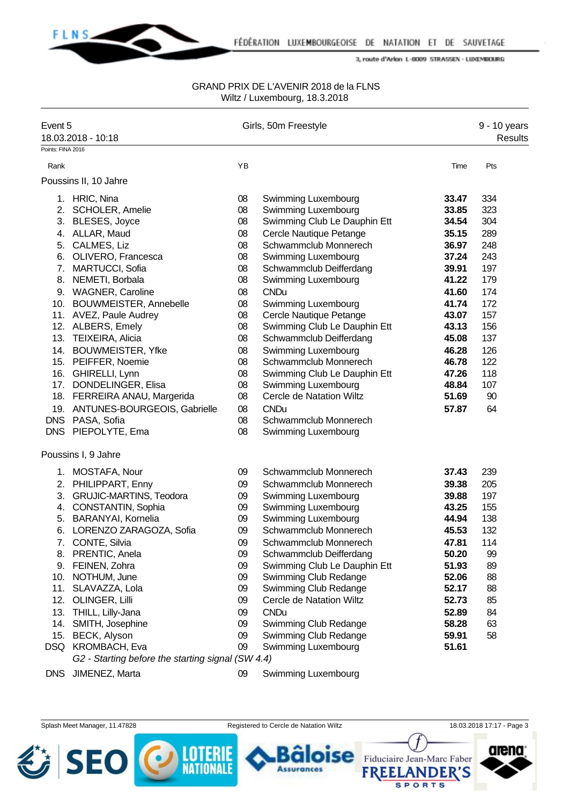

#### GRAND PRIX DE L'AVENIR 2018 de la FLNS Wiltz / Luxembourg, 18.3.2018

| Event 5<br>18.03.2018 - 10:18 |                                                   |    | Girls, 50m Freestyle         |       | 9 - 10 years<br><b>Results</b> |
|-------------------------------|---------------------------------------------------|----|------------------------------|-------|--------------------------------|
| Points: FINA 2016             |                                                   |    |                              |       |                                |
| Rank                          |                                                   | YB |                              | Time  | Pts                            |
|                               | Poussins II, 10 Jahre                             |    |                              |       |                                |
|                               | 1. HRIC, Nina                                     | 08 | Swimming Luxembourg          | 33.47 | 334                            |
|                               | 2. SCHOLER, Amelie                                | 08 | Swimming Luxembourg          | 33.85 | 323                            |
| 3.                            | BLESES, Joyce                                     | 08 | Swimming Club Le Dauphin Ett | 34.54 | 304                            |
|                               | 4. ALLAR, Maud                                    | 08 | Cercle Nautique Petange      | 35.15 | 289                            |
|                               | 5. CALMES, Liz                                    | 08 | Schwammclub Monnerech        | 36.97 | 248                            |
|                               | 6. OLIVERO, Francesca                             | 08 | Swimming Luxembourg          | 37.24 | 243                            |
|                               | 7. MARTUCCI, Sofia                                | 08 | Schwammclub Deifferdang      | 39.91 | 197                            |
|                               | 8. NEMETI, Borbala                                | 08 | Swimming Luxembourg          | 41.22 | 179                            |
|                               | 9. WAGNER, Caroline                               | 08 | <b>CNDu</b>                  | 41.60 | 174                            |
|                               | 10. BOUWMEISTER, Annebelle                        | 08 | Swimming Luxembourg          | 41.74 | 172                            |
|                               | 11. AVEZ, Paule Audrey                            | 08 | Cercle Nautique Petange      | 43.07 | 157                            |
|                               | 12. ALBERS, Emely                                 | 08 | Swimming Club Le Dauphin Ett | 43.13 | 156                            |
|                               | 13. TEIXEIRA, Alicia                              | 08 | Schwammclub Deifferdang      | 45.08 | 137                            |
|                               | 14. BOUWMEISTER, Yfke                             | 08 | Swimming Luxembourg          | 46.28 | 126                            |
|                               | 15. PEIFFER, Noemie                               | 08 | Schwammclub Monnerech        | 46.78 | 122                            |
|                               | 16. GHIRELLI, Lynn                                | 08 | Swimming Club Le Dauphin Ett | 47.26 | 118                            |
|                               | 17. DONDELINGER, Elisa                            | 08 | Swimming Luxembourg          | 48.84 | 107                            |
|                               | 18. FERREIRA ANAU, Margerida                      | 08 | Cercle de Natation Wiltz     | 51.69 | 90                             |
|                               | 19. ANTUNES-BOURGEOIS, Gabrielle                  | 08 | <b>CNDu</b>                  | 57.87 | 64                             |
|                               | DNS PASA, Sofia                                   | 08 | Schwammclub Monnerech        |       |                                |
|                               | DNS PIEPOLYTE, Ema                                | 08 | Swimming Luxembourg          |       |                                |
|                               | Poussins I, 9 Jahre                               |    |                              |       |                                |
|                               | 1. MOSTAFA, Nour                                  | 09 | Schwammclub Monnerech        | 37.43 | 239                            |
| 2.                            | PHILIPPART, Enny                                  | 09 | Schwammclub Monnerech        | 39.38 | 205                            |
| 3.                            | <b>GRUJIC-MARTINS, Teodora</b>                    | 09 | Swimming Luxembourg          | 39.88 | 197                            |
|                               | 4. CONSTANTIN, Sophia                             | 09 | Swimming Luxembourg          | 43.25 | 155                            |
|                               | 5. BARANYAI, Kornelia                             | 09 | Swimming Luxembourg          | 44.94 | 138                            |
|                               | 6. LORENZO ZARAGOZA, Sofia                        | 09 | Schwammclub Monnerech        | 45.53 | 132                            |
| 7.                            | CONTE, Silvia                                     | 09 | Schwammclub Monnerech        | 47.81 | 114                            |
| 8.                            | PRENTIC, Anela                                    | 09 | Schwammclub Deifferdang      | 50.20 | 99                             |
| 9.                            | FEINEN, Zohra                                     | 09 | Swimming Club Le Dauphin Ett | 51.93 | 89                             |
| 10.                           | NOTHUM, June                                      | 09 | Swimming Club Redange        | 52.06 | 88                             |
| 11.                           | SLAVAZZA, Lola                                    | 09 | Swimming Club Redange        | 52.17 | 88                             |
| 12.                           | OLINGER, Lilli                                    | 09 | Cercle de Natation Wiltz     | 52.73 | 85                             |
| 13.                           | THILL, Lilly-Jana                                 | 09 | <b>CNDu</b>                  | 52.89 | 84                             |
|                               | 14. SMITH, Josephine                              | 09 | Swimming Club Redange        | 58.28 | 63                             |
|                               | 15. BECK, Alyson                                  | 09 | Swimming Club Redange        | 59.91 | 58                             |
|                               | DSQ KROMBACH, Eva                                 | 09 | Swimming Luxembourg          | 51.61 |                                |
|                               | G2 - Starting before the starting signal (SW 4.4) |    |                              |       |                                |
| <b>DNS</b>                    | JIMENEZ, Marta                                    | 09 | Swimming Luxembourg          |       |                                |

Splash Meet Manager, 11.47828 Registered to Cercle de Natation Wiltz 18.03.2018 17:17 - Page 3







**Assurances** 

Fiduciaire Jean-Marc Faber

**FREELANDER'S SPORTS** 

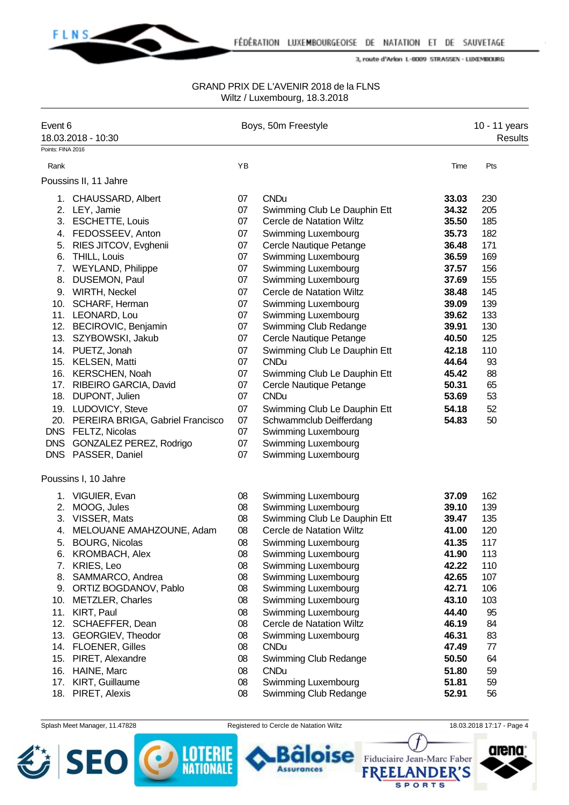

#### GRAND PRIX DE L'AVENIR 2018 de la FLNS Wiltz / Luxembourg, 18.3.2018

| Event 6           |                                      | Boys, 50m Freestyle |                                 |       | 10 - 11 years |  |
|-------------------|--------------------------------------|---------------------|---------------------------------|-------|---------------|--|
|                   | 18.03.2018 - 10:30                   |                     |                                 |       | Results       |  |
| Points: FINA 2016 |                                      |                     |                                 |       |               |  |
| Rank              |                                      | YB                  |                                 | Time  | Pts           |  |
|                   | Poussins II, 11 Jahre                |                     |                                 |       |               |  |
|                   | 1. CHAUSSARD, Albert                 | 07                  | <b>CNDu</b>                     | 33.03 | 230           |  |
|                   | 2. LEY, Jamie                        | 07                  | Swimming Club Le Dauphin Ett    | 34.32 | 205           |  |
|                   | 3. ESCHETTE, Louis                   | 07                  | <b>Cercle de Natation Wiltz</b> | 35.50 | 185           |  |
|                   | 4. FEDOSSEEV, Anton                  | 07                  | Swimming Luxembourg             | 35.73 | 182           |  |
|                   | 5. RIES JITCOV, Evghenii             | 07                  | Cercle Nautique Petange         | 36.48 | 171           |  |
|                   | 6. THILL, Louis                      | 07                  | Swimming Luxembourg             | 36.59 | 169           |  |
|                   | 7. WEYLAND, Philippe                 | 07                  | Swimming Luxembourg             | 37.57 | 156           |  |
|                   | 8. DUSEMON, Paul                     | 07                  | Swimming Luxembourg             | 37.69 | 155           |  |
|                   | 9. WIRTH, Neckel                     | 07                  | Cercle de Natation Wiltz        | 38.48 | 145           |  |
|                   | 10. SCHARF, Herman                   | 07                  | Swimming Luxembourg             | 39.09 | 139           |  |
|                   | 11. LEONARD, Lou                     | 07                  | Swimming Luxembourg             | 39.62 | 133           |  |
|                   | 12. BECIROVIC, Benjamin              | 07                  | Swimming Club Redange           | 39.91 | 130           |  |
|                   | 13. SZYBOWSKI, Jakub                 | 07                  | Cercle Nautique Petange         | 40.50 | 125           |  |
|                   | 14. PUETZ, Jonah                     | 07                  | Swimming Club Le Dauphin Ett    | 42.18 | 110           |  |
|                   | 15. KELSEN, Matti                    | 07                  | <b>CNDu</b>                     | 44.64 | 93            |  |
|                   | 16. KERSCHEN, Noah                   | 07                  | Swimming Club Le Dauphin Ett    | 45.42 | 88            |  |
|                   | 17. RIBEIRO GARCIA, David            | 07                  | Cercle Nautique Petange         | 50.31 | 65            |  |
|                   | 18. DUPONT, Julien                   | 07                  | <b>CNDu</b>                     | 53.69 | 53            |  |
|                   | 19. LUDOVICY, Steve                  | 07                  | Swimming Club Le Dauphin Ett    | 54.18 | 52            |  |
|                   | 20. PEREIRA BRIGA, Gabriel Francisco | 07                  | Schwammclub Deifferdang         | 54.83 | 50            |  |
| <b>DNS</b>        | FELTZ, Nicolas                       | 07                  | Swimming Luxembourg             |       |               |  |
| <b>DNS</b>        | GONZALEZ PEREZ, Rodrigo              | 07                  | Swimming Luxembourg             |       |               |  |
|                   | DNS PASSER, Daniel                   | 07                  | Swimming Luxembourg             |       |               |  |
|                   | Poussins I, 10 Jahre                 |                     |                                 |       |               |  |
|                   | 1. VIGUIER, Evan                     | 08                  | Swimming Luxembourg             | 37.09 | 162           |  |
| 2.                | MOOG, Jules                          | 08                  | <b>Swimming Luxembourg</b>      | 39.10 | 139           |  |
|                   | 3. VISSER, Mats                      | 08                  | Swimming Club Le Dauphin Ett    | 39.47 | 135           |  |
|                   | 4. MELOUANE AMAHZOUNE, Adam          | 08                  | Cercle de Natation Wiltz        | 41.00 | 120           |  |
| 5.                | <b>BOURG, Nicolas</b>                | 08                  | <b>Swimming Luxembourg</b>      | 41.35 | 117           |  |
| 6.                | <b>KROMBACH, Alex</b>                | 08                  | Swimming Luxembourg             | 41.90 | 113           |  |
| 7.                | KRIES, Leo                           | 08                  | Swimming Luxembourg             | 42.22 | 110           |  |
| 8.                | SAMMARCO, Andrea                     | 08                  | Swimming Luxembourg             | 42.65 | 107           |  |
| 9.                | ORTIZ BOGDANOV, Pablo                | 08                  | Swimming Luxembourg             | 42.71 | 106           |  |
| 10.               | <b>METZLER, Charles</b>              | 08                  | Swimming Luxembourg             | 43.10 | 103           |  |
|                   | 11. KIRT, Paul                       | 08                  | Swimming Luxembourg             | 44.40 | 95            |  |
| 12.               | SCHAEFFER, Dean                      | 08                  | <b>Cercle de Natation Wiltz</b> | 46.19 | 84            |  |
|                   | 13. GEORGIEV, Theodor                | 08                  | Swimming Luxembourg             | 46.31 | 83            |  |
|                   | 14. FLOENER, Gilles                  | 08                  | <b>CNDu</b>                     | 47.49 | 77            |  |
|                   | 15. PIRET, Alexandre                 | 08                  | Swimming Club Redange           | 50.50 | 64            |  |
| 16.               | HAINE, Marc                          | 08                  | <b>CNDu</b>                     | 51.80 | 59            |  |
| 17.               | KIRT, Guillaume                      | 08                  | Swimming Luxembourg             | 51.81 | 59            |  |
|                   | 18. PIRET, Alexis                    | 08                  | Swimming Club Redange           | 52.91 | 56            |  |
|                   |                                      |                     |                                 |       |               |  |



Splash Meet Manager, 11.47828 Registered to Cercle de Natation Wiltz 18.03.2018 17:17 - Page 4

**Assurances** 

se

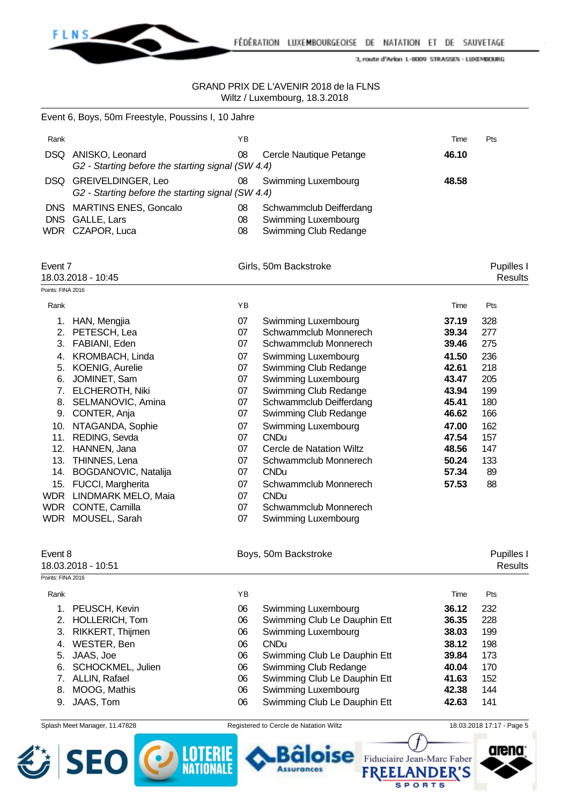

#### GRAND PRIX DE L'AVENIR 2018 de la FLNS Wiltz / Luxembourg, 18.3.2018

|                          | Event 6, Boys, 50m Freestyle, Poussins I, 10 Jahre                                                                                                                                                                                                                                                                                                                                          |                                                                                                          |                                                                                                                                                                                                                                                                                                                                                                                                                             |                                                                                                                                     |                                                                                                     |
|--------------------------|---------------------------------------------------------------------------------------------------------------------------------------------------------------------------------------------------------------------------------------------------------------------------------------------------------------------------------------------------------------------------------------------|----------------------------------------------------------------------------------------------------------|-----------------------------------------------------------------------------------------------------------------------------------------------------------------------------------------------------------------------------------------------------------------------------------------------------------------------------------------------------------------------------------------------------------------------------|-------------------------------------------------------------------------------------------------------------------------------------|-----------------------------------------------------------------------------------------------------|
| Rank                     |                                                                                                                                                                                                                                                                                                                                                                                             | YB                                                                                                       |                                                                                                                                                                                                                                                                                                                                                                                                                             | Time                                                                                                                                | Pts                                                                                                 |
|                          | DSQ ANISKO, Leonard<br>G2 - Starting before the starting signal (SW 4.4)                                                                                                                                                                                                                                                                                                                    | 08                                                                                                       | Cercle Nautique Petange                                                                                                                                                                                                                                                                                                                                                                                                     | 46.10                                                                                                                               |                                                                                                     |
|                          | DSQ GREIVELDINGER, Leo<br>G2 - Starting before the starting signal (SW 4.4)                                                                                                                                                                                                                                                                                                                 | 08                                                                                                       | Swimming Luxembourg                                                                                                                                                                                                                                                                                                                                                                                                         | 48.58                                                                                                                               |                                                                                                     |
| <b>DNS</b><br><b>DNS</b> | <b>MARTINS ENES, Goncalo</b><br>GALLE, Lars<br>WDR CZAPOR, Luca                                                                                                                                                                                                                                                                                                                             | 08<br>08<br>08                                                                                           | Schwammclub Deifferdang<br>Swimming Luxembourg<br>Swimming Club Redange                                                                                                                                                                                                                                                                                                                                                     |                                                                                                                                     |                                                                                                     |
| Event 7                  | 18.03.2018 - 10:45                                                                                                                                                                                                                                                                                                                                                                          |                                                                                                          | Girls, 50m Backstroke                                                                                                                                                                                                                                                                                                                                                                                                       |                                                                                                                                     | Pupilles I<br><b>Results</b>                                                                        |
| Points: FINA 2016        |                                                                                                                                                                                                                                                                                                                                                                                             |                                                                                                          |                                                                                                                                                                                                                                                                                                                                                                                                                             |                                                                                                                                     |                                                                                                     |
| Rank                     |                                                                                                                                                                                                                                                                                                                                                                                             | YB                                                                                                       |                                                                                                                                                                                                                                                                                                                                                                                                                             | Time                                                                                                                                | Pts                                                                                                 |
| 13.<br>15.<br><b>WDR</b> | 1. HAN, Mengjia<br>2. PETESCH, Lea<br>3. FABIANI, Eden<br>4. KROMBACH, Linda<br>5. KOENIG, Aurelie<br>6. JOMINET, Sam<br>7. ELCHEROTH, Niki<br>8. SELMANOVIC, Amina<br>9. CONTER, Anja<br>10. NTAGANDA, Sophie<br>11. REDING, Sevda<br>12. HANNEN, Jana<br>THINNES, Lena<br>14. BOGDANOVIC, Natalija<br>FUCCI, Margherita<br>WDR LINDMARK MELO, Maia<br>CONTE, Camilla<br>WDR MOUSEL, Sarah | 07<br>07<br>07<br>07<br>07<br>07<br>07<br>07<br>07<br>07<br>07<br>07<br>07<br>07<br>07<br>07<br>07<br>07 | Swimming Luxembourg<br>Schwammclub Monnerech<br>Schwammclub Monnerech<br>Swimming Luxembourg<br>Swimming Club Redange<br>Swimming Luxembourg<br>Swimming Club Redange<br>Schwammclub Deifferdang<br>Swimming Club Redange<br>Swimming Luxembourg<br><b>CNDu</b><br>Cercle de Natation Wiltz<br>Schwammclub Monnerech<br><b>CNDu</b><br>Schwammclub Monnerech<br><b>CNDu</b><br>Schwammclub Monnerech<br>Swimming Luxembourg | 37.19<br>39.34<br>39.46<br>41.50<br>42.61<br>43.47<br>43.94<br>45.41<br>46.62<br>47.00<br>47.54<br>48.56<br>50.24<br>57.34<br>57.53 | 328<br>277<br>275<br>236<br>218<br>205<br>199<br>180<br>166<br>162<br>157<br>147<br>133<br>89<br>88 |
| Event 8                  | 18.03.2018 - 10:51                                                                                                                                                                                                                                                                                                                                                                          |                                                                                                          | Boys, 50m Backstroke                                                                                                                                                                                                                                                                                                                                                                                                        |                                                                                                                                     | Pupilles I<br><b>Results</b>                                                                        |
| Points: FINA 2016        |                                                                                                                                                                                                                                                                                                                                                                                             |                                                                                                          |                                                                                                                                                                                                                                                                                                                                                                                                                             |                                                                                                                                     |                                                                                                     |
| Rank                     |                                                                                                                                                                                                                                                                                                                                                                                             | YB                                                                                                       |                                                                                                                                                                                                                                                                                                                                                                                                                             | Time                                                                                                                                | Pts                                                                                                 |
| 1.                       | PEUSCH, Kevin                                                                                                                                                                                                                                                                                                                                                                               | 06                                                                                                       | Swimming Luxembourg                                                                                                                                                                                                                                                                                                                                                                                                         | 36.12                                                                                                                               | 232                                                                                                 |
| 3.                       | 2. HOLLERICH, Tom<br>RIKKERT, Thijmen                                                                                                                                                                                                                                                                                                                                                       | 06<br>06                                                                                                 | Swimming Club Le Dauphin Ett<br>Swimming Luxembourg                                                                                                                                                                                                                                                                                                                                                                         | 36.35<br>38.03                                                                                                                      | 228<br>199                                                                                          |
| 4.                       | WESTER, Ben                                                                                                                                                                                                                                                                                                                                                                                 | 06                                                                                                       | <b>CNDu</b>                                                                                                                                                                                                                                                                                                                                                                                                                 | 38.12                                                                                                                               | 198                                                                                                 |
| 5.                       | JAAS, Joe                                                                                                                                                                                                                                                                                                                                                                                   | 06                                                                                                       | Swimming Club Le Dauphin Ett                                                                                                                                                                                                                                                                                                                                                                                                | 39.84                                                                                                                               | 173                                                                                                 |
| 6.                       | SCHOCKMEL, Julien                                                                                                                                                                                                                                                                                                                                                                           | 06                                                                                                       | Swimming Club Redange                                                                                                                                                                                                                                                                                                                                                                                                       | 40.04                                                                                                                               | 170                                                                                                 |
| 7.                       | ALLIN, Rafael                                                                                                                                                                                                                                                                                                                                                                               | 06                                                                                                       | Swimming Club Le Dauphin Ett                                                                                                                                                                                                                                                                                                                                                                                                | 41.63                                                                                                                               | 152                                                                                                 |
| 8.                       | MOOG, Mathis                                                                                                                                                                                                                                                                                                                                                                                | 06                                                                                                       | Swimming Luxembourg                                                                                                                                                                                                                                                                                                                                                                                                         | 42.38                                                                                                                               | 144                                                                                                 |
| 9.                       | JAAS, Tom                                                                                                                                                                                                                                                                                                                                                                                   | 06                                                                                                       | Swimming Club Le Dauphin Ett                                                                                                                                                                                                                                                                                                                                                                                                | 42.63                                                                                                                               | 141                                                                                                 |
|                          |                                                                                                                                                                                                                                                                                                                                                                                             |                                                                                                          |                                                                                                                                                                                                                                                                                                                                                                                                                             |                                                                                                                                     |                                                                                                     |



Splash Meet Manager, 11.47828 Registered to Cercle de Natation Wiltz 18.03.2018 17:17 - Page 5

**Assurances** 

se

**SPORTS** 

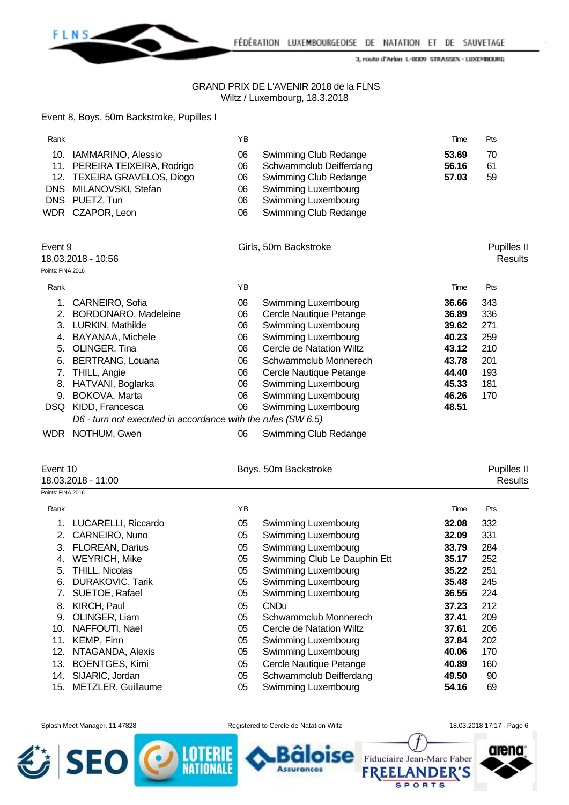

|                   | Event 8, Boys, 50m Backstroke, Pupilles I                    |    |                              |       |                               |
|-------------------|--------------------------------------------------------------|----|------------------------------|-------|-------------------------------|
| Rank              |                                                              | YB |                              | Time  | Pts                           |
|                   | 10. IAMMARINO, Alessio                                       | 06 | Swimming Club Redange        | 53.69 | 70                            |
|                   | 11. PEREIRA TEIXEIRA, Rodrigo                                | 06 | Schwammclub Deifferdang      | 56.16 | 61                            |
|                   | 12. TEXEIRA GRAVELOS, Diogo                                  | 06 | Swimming Club Redange        | 57.03 | 59                            |
|                   | DNS MILANOVSKI, Stefan                                       | 06 | Swimming Luxembourg          |       |                               |
|                   | DNS PUETZ, Tun                                               | 06 | Swimming Luxembourg          |       |                               |
|                   | WDR CZAPOR, Leon                                             | 06 | Swimming Club Redange        |       |                               |
| Event 9           |                                                              |    |                              |       |                               |
|                   | 18.03.2018 - 10:56                                           |    | Girls, 50m Backstroke        |       | Pupilles II<br><b>Results</b> |
| Points: FINA 2016 |                                                              |    |                              |       |                               |
| Rank              |                                                              | YB |                              | Time  | Pts                           |
|                   | 1. CARNEIRO, Sofia                                           | 06 | Swimming Luxembourg          | 36.66 | 343                           |
|                   | 2. BORDONARO, Madeleine                                      | 06 | Cercle Nautique Petange      | 36.89 | 336                           |
|                   | 3. LURKIN, Mathilde                                          | 06 | Swimming Luxembourg          | 39.62 | 271                           |
|                   | 4. BAYANAA, Michele                                          | 06 | Swimming Luxembourg          | 40.23 | 259                           |
|                   | 5. OLINGER, Tina                                             | 06 | Cercle de Natation Wiltz     | 43.12 | 210                           |
|                   | 6. BERTRANG, Louana                                          | 06 | Schwammclub Monnerech        | 43.78 | 201                           |
|                   | 7. THILL, Angie                                              | 06 | Cercle Nautique Petange      | 44.40 | 193                           |
|                   | 8. HATVANI, Boglarka                                         | 06 | Swimming Luxembourg          | 45.33 | 181                           |
|                   | 9. BOKOVA, Marta                                             | 06 | Swimming Luxembourg          | 46.26 | 170                           |
|                   | DSQ KIDD, Francesca                                          | 06 | Swimming Luxembourg          | 48.51 |                               |
|                   | D6 - turn not executed in accordance with the rules (SW 6.5) |    |                              |       |                               |
|                   | WDR NOTHUM, Gwen                                             | 06 | Swimming Club Redange        |       |                               |
| Event 10          |                                                              |    | Boys, 50m Backstroke         |       | Pupilles II                   |
|                   | 18.03.2018 - 11:00                                           |    |                              |       | <b>Results</b>                |
| Points: FINA 2016 |                                                              |    |                              |       |                               |
| Rank              |                                                              | YB |                              | Time  | Pts                           |
| 1.                | LUCARELLI, Riccardo                                          | 05 | Swimming Luxembourg          | 32.08 | 332                           |
| 2.                | CARNEIRO, Nuno                                               | 05 | Swimming Luxembourg          | 32.09 | 331                           |
| 3.                | FLOREAN, Darius                                              | 05 | Swimming Luxembourg          | 33.79 | 284                           |
| 4.                | <b>WEYRICH, Mike</b>                                         | 05 | Swimming Club Le Dauphin Ett | 35.17 | 252                           |
| 5.                | THILL, Nicolas                                               | 05 | Swimming Luxembourg          | 35.22 | 251                           |
| 6.                | <b>DURAKOVIC, Tarik</b>                                      | 05 | Swimming Luxembourg          | 35.48 | 245                           |
| 7.                | SUETOE, Rafael                                               | 05 | Swimming Luxembourg          | 36.55 | 224                           |
| 8.                | KIRCH, Paul                                                  | 05 | <b>CNDu</b>                  | 37.23 | 212                           |
| 9.                | OLINGER, Liam                                                | 05 | Schwammclub Monnerech        | 37.41 | 209                           |
| 10.               | NAFFOUTI, Nael                                               | 05 | Cercle de Natation Wiltz     | 37.61 | 206                           |
| 11.               | KEMP, Finn                                                   | 05 | Swimming Luxembourg          | 37.84 | 202                           |
| 12.               | NTAGANDA, Alexis                                             | 05 | Swimming Luxembourg          | 40.06 | 170                           |
| 13.               | <b>BOENTGES, Kimi</b>                                        | 05 | Cercle Nautique Petange      | 40.89 | 160                           |
| 14.               | SIJARIC, Jordan                                              | 05 | Schwammclub Deifferdang      | 49.50 | 90                            |
| 15.               | METZLER, Guillaume                                           | 05 | Swimming Luxembourg          | 54.16 | 69                            |

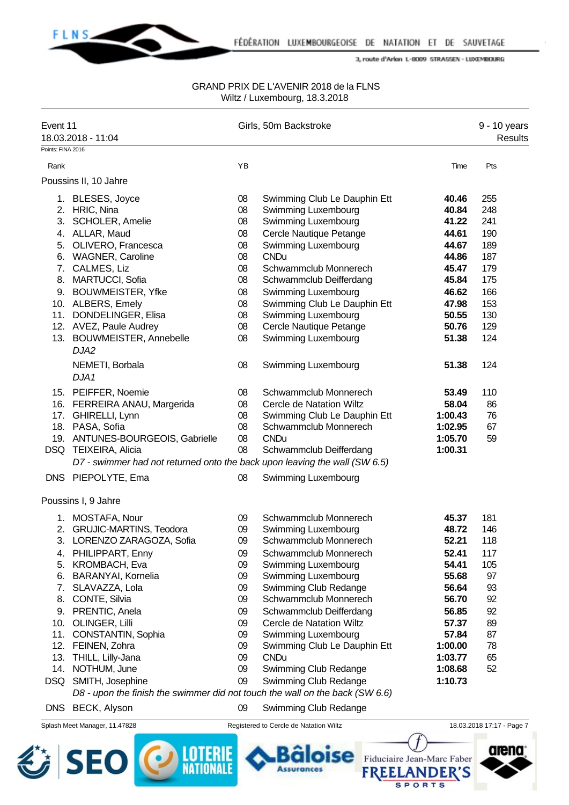

#### GRAND PRIX DE L'AVENIR 2018 de la FLNS Wiltz / Luxembourg, 18.3.2018

| Event 11<br>Points: FINA 2016                                       | 18.03.2018 - 11:04                                                                                                                                                                                                                                                                                                                                                                                                            |                                                                                              | Girls, 50m Backstroke                                                                                                                                                                                                                                                                                                                                                                                         |                                                                                                                                             | 9 - 10 years<br><b>Results</b>                                                          |
|---------------------------------------------------------------------|-------------------------------------------------------------------------------------------------------------------------------------------------------------------------------------------------------------------------------------------------------------------------------------------------------------------------------------------------------------------------------------------------------------------------------|----------------------------------------------------------------------------------------------|---------------------------------------------------------------------------------------------------------------------------------------------------------------------------------------------------------------------------------------------------------------------------------------------------------------------------------------------------------------------------------------------------------------|---------------------------------------------------------------------------------------------------------------------------------------------|-----------------------------------------------------------------------------------------|
| Rank                                                                |                                                                                                                                                                                                                                                                                                                                                                                                                               | YB                                                                                           |                                                                                                                                                                                                                                                                                                                                                                                                               | Time                                                                                                                                        | Pts                                                                                     |
|                                                                     | Poussins II, 10 Jahre                                                                                                                                                                                                                                                                                                                                                                                                         |                                                                                              |                                                                                                                                                                                                                                                                                                                                                                                                               |                                                                                                                                             |                                                                                         |
| 3.<br>8.                                                            | 1. BLESES, Joyce<br>2. HRIC, Nina<br>SCHOLER, Amelie<br>4. ALLAR, Maud<br>5. OLIVERO, Francesca<br>6. WAGNER, Caroline<br>7. CALMES, Liz<br>MARTUCCI, Sofia<br>9. BOUWMEISTER, Yfke<br>10. ALBERS, Emely<br>11. DONDELINGER, Elisa<br>12. AVEZ, Paule Audrey<br>13. BOUWMEISTER, Annebelle                                                                                                                                    | 08<br>08<br>08<br>08<br>08<br>08<br>08<br>08<br>08<br>08<br>08<br>08<br>08                   | Swimming Club Le Dauphin Ett<br><b>Swimming Luxembourg</b><br>Swimming Luxembourg<br>Cercle Nautique Petange<br>Swimming Luxembourg<br><b>CNDu</b><br>Schwammclub Monnerech<br>Schwammclub Deifferdang<br>Swimming Luxembourg<br>Swimming Club Le Dauphin Ett<br>Swimming Luxembourg<br>Cercle Nautique Petange<br><b>Swimming Luxembourg</b>                                                                 | 40.46<br>40.84<br>41.22<br>44.61<br>44.67<br>44.86<br>45.47<br>45.84<br>46.62<br>47.98<br>50.55<br>50.76<br>51.38                           | 255<br>248<br>241<br>190<br>189<br>187<br>179<br>175<br>166<br>153<br>130<br>129<br>124 |
|                                                                     | DJA2<br>NEMETI, Borbala<br>DJA1                                                                                                                                                                                                                                                                                                                                                                                               | 08                                                                                           | <b>Swimming Luxembourg</b>                                                                                                                                                                                                                                                                                                                                                                                    | 51.38                                                                                                                                       | 124                                                                                     |
|                                                                     | 15. PEIFFER, Noemie<br>16. FERREIRA ANAU, Margerida<br>17. GHIRELLI, Lynn<br>18. PASA, Sofia<br>19. ANTUNES-BOURGEOIS, Gabrielle<br>DSQ TEIXEIRA, Alicia<br>D7 - swimmer had not returned onto the back upon leaving the wall (SW 6.5)<br>DNS PIEPOLYTE, Ema                                                                                                                                                                  | 08<br>08<br>08<br>08<br>08<br>08<br>08                                                       | Schwammclub Monnerech<br>Cercle de Natation Wiltz<br>Swimming Club Le Dauphin Ett<br>Schwammclub Monnerech<br><b>CNDu</b><br>Schwammclub Deifferdang<br><b>Swimming Luxembourg</b>                                                                                                                                                                                                                            | 53.49<br>58.04<br>1:00.43<br>1:02.95<br>1:05.70<br>1:00.31                                                                                  | 110<br>86<br>76<br>67<br>59                                                             |
|                                                                     | Poussins I, 9 Jahre                                                                                                                                                                                                                                                                                                                                                                                                           |                                                                                              |                                                                                                                                                                                                                                                                                                                                                                                                               |                                                                                                                                             |                                                                                         |
| 4.<br>5.<br>6.<br>7.<br>8.<br>9.<br>10.<br>11.<br>12.<br>13.<br>14. | 1. MOSTAFA, Nour<br>2. GRUJIC-MARTINS, Teodora<br>3. LORENZO ZARAGOZA, Sofia<br>PHILIPPART, Enny<br><b>KROMBACH, Eva</b><br>BARANYAI, Kornelia<br>SLAVAZZA, Lola<br>CONTE, Silvia<br>PRENTIC, Anela<br>OLINGER, Lilli<br>CONSTANTIN, Sophia<br>FEINEN, Zohra<br>THILL, Lilly-Jana<br>NOTHUM, June<br>DSQ SMITH, Josephine<br>D8 - upon the finish the swimmer did not touch the wall on the back (SW 6.6)<br>DNS BECK, Alyson | 09<br>09<br>09<br>09<br>09<br>09<br>09<br>09<br>09<br>09<br>09<br>09<br>09<br>09<br>09<br>09 | Schwammclub Monnerech<br><b>Swimming Luxembourg</b><br>Schwammclub Monnerech<br>Schwammclub Monnerech<br>Swimming Luxembourg<br>Swimming Luxembourg<br>Swimming Club Redange<br>Schwammclub Monnerech<br>Schwammclub Deifferdang<br>Cercle de Natation Wiltz<br>Swimming Luxembourg<br>Swimming Club Le Dauphin Ett<br><b>CNDu</b><br>Swimming Club Redange<br>Swimming Club Redange<br>Swimming Club Redange | 45.37<br>48.72<br>52.21<br>52.41<br>54.41<br>55.68<br>56.64<br>56.70<br>56.85<br>57.37<br>57.84<br>1:00.00<br>1:03.77<br>1:08.68<br>1:10.73 | 181<br>146<br>118<br>117<br>105<br>97<br>93<br>92<br>92<br>89<br>87<br>78<br>65<br>52   |

Splash Meet Manager, 11.47828 Registered to Cercle de Natation Wiltz 18.03.2018 17:17 - Page 7





**Assurances** 

lse



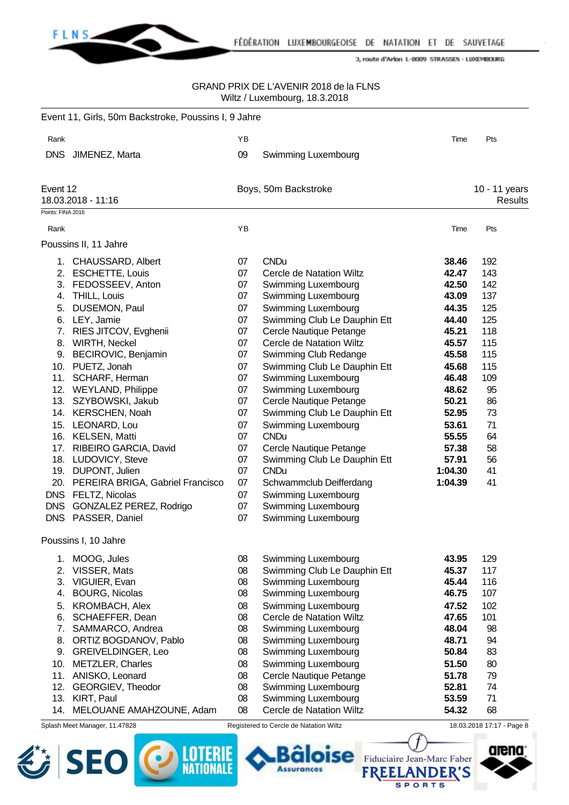

#### GRAND PRIX DE L'AVENIR 2018 de la FLNS Wiltz / Luxembourg, 18.3.2018

|                   | Event 11, Girls, 50m Backstroke, Poussins I, 9 Jahre |          |                                                        |                |                           |
|-------------------|------------------------------------------------------|----------|--------------------------------------------------------|----------------|---------------------------|
| Rank              |                                                      | YB       |                                                        | Time           | Pts                       |
| <b>DNS</b>        | JIMENEZ, Marta                                       | 09       | Swimming Luxembourg                                    |                |                           |
|                   |                                                      |          |                                                        |                |                           |
| Event 12          |                                                      |          | Boys, 50m Backstroke                                   |                | 10 - 11 years             |
|                   | 18.03.2018 - 11:16                                   |          |                                                        |                | <b>Results</b>            |
| Points: FINA 2016 |                                                      |          |                                                        |                |                           |
| Rank              |                                                      | YB       |                                                        | Time           | Pts                       |
|                   | Poussins II, 11 Jahre                                |          |                                                        |                |                           |
|                   | 1. CHAUSSARD, Albert                                 | 07       | <b>CNDu</b>                                            | 38.46          | 192                       |
|                   | 2. ESCHETTE, Louis                                   | 07       | Cercle de Natation Wiltz                               | 42.47          | 143                       |
|                   | 3. FEDOSSEEV, Anton                                  | 07       | Swimming Luxembourg                                    | 42.50          | 142                       |
|                   | 4. THILL, Louis                                      | 07       | Swimming Luxembourg                                    | 43.09          | 137                       |
| 5.                | DUSEMON, Paul                                        | 07       | Swimming Luxembourg                                    | 44.35          | 125                       |
|                   | 6. LEY, Jamie                                        | 07       | Swimming Club Le Dauphin Ett                           | 44.40          | 125                       |
|                   | 7. RIES JITCOV, Evghenii                             | 07       | Cercle Nautique Petange                                | 45.21          | 118                       |
|                   | 8. WIRTH, Neckel                                     | 07       | Cercle de Natation Wiltz                               | 45.57          | 115                       |
|                   | 9. BECIROVIC, Benjamin                               | 07       | Swimming Club Redange                                  | 45.58          | 115                       |
|                   | 10. PUETZ, Jonah                                     | 07       | Swimming Club Le Dauphin Ett                           | 45.68          | 115                       |
|                   | 11. SCHARF, Herman                                   | 07       | Swimming Luxembourg                                    | 46.48          | 109                       |
|                   | 12. WEYLAND, Philippe                                | 07       | Swimming Luxembourg                                    | 48.62          | 95                        |
|                   | 13. SZYBOWSKI, Jakub                                 | 07       | Cercle Nautique Petange                                | 50.21          | 86                        |
|                   | 14. KERSCHEN, Noah                                   | 07       | Swimming Club Le Dauphin Ett                           | 52.95          | 73                        |
|                   | 15. LEONARD, Lou                                     | 07       | Swimming Luxembourg                                    | 53.61          | 71                        |
|                   | 16. KELSEN, Matti                                    | 07       | <b>CNDu</b>                                            | 55.55          | 64                        |
|                   | 17. RIBEIRO GARCIA, David                            | 07       | Cercle Nautique Petange                                | 57.38          | 58                        |
|                   | 18. LUDOVICY, Steve                                  | 07       | Swimming Club Le Dauphin Ett                           | 57.91          | 56                        |
|                   | 19. DUPONT, Julien                                   | 07       | <b>CNDu</b>                                            | 1:04.30        | 41                        |
|                   | 20. PEREIRA BRIGA, Gabriel Francisco                 | 07       | Schwammclub Deifferdang                                | 1:04.39        | 41                        |
|                   | DNS FELTZ, Nicolas                                   | 07       | Swimming Luxembourg                                    |                |                           |
|                   | DNS GONZALEZ PEREZ, Rodrigo                          | 07       | Swimming Luxembourg                                    |                |                           |
| <b>DNS</b>        | PASSER, Daniel                                       | 07       | Swimming Luxembourg                                    |                |                           |
|                   | Poussins I, 10 Jahre                                 |          |                                                        |                |                           |
|                   | 1. MOOG, Jules                                       | 08       | Swimming Luxembourg                                    | 43.95          | 129                       |
| 2.                | VISSER, Mats                                         | 08       | Swimming Club Le Dauphin Ett                           | 45.37          | 117                       |
| 3.                | VIGUIER, Evan                                        | 08       | Swimming Luxembourg                                    | 45.44          | 116                       |
|                   | 4. BOURG, Nicolas                                    | 08       | Swimming Luxembourg                                    | 46.75          | 107                       |
| 5.                | <b>KROMBACH, Alex</b>                                | 08       | Swimming Luxembourg                                    | 47.52          | 102                       |
| 6.                | SCHAEFFER, Dean                                      | 08       | Cercle de Natation Wiltz                               | 47.65          | 101                       |
| 7.                | SAMMARCO, Andrea                                     | 08       | Swimming Luxembourg                                    | 48.04          | 98                        |
|                   |                                                      |          |                                                        | 48.71          | 94                        |
| 8.<br>9.          | ORTIZ BOGDANOV, Pablo<br>GREIVELDINGER, Leo          | 08<br>08 | Swimming Luxembourg<br>Swimming Luxembourg             | 50.84          | 83                        |
|                   |                                                      |          |                                                        |                |                           |
| 10.               | <b>METZLER, Charles</b>                              | 08       | Swimming Luxembourg                                    | 51.50          | 80                        |
| 11.               | ANISKO, Leonard                                      | 08       | Cercle Nautique Petange                                | 51.78          | 79<br>74                  |
| 12.               | GEORGIEV, Theodor                                    | 08       | Swimming Luxembourg                                    | 52.81          |                           |
| 13.<br>14.        | KIRT, Paul<br>MELOUANE AMAHZOUNE, Adam               | 08<br>08 | Swimming Luxembourg<br><b>Cercle de Natation Wiltz</b> | 53.59<br>54.32 | 71<br>68                  |
|                   |                                                      |          |                                                        |                |                           |
|                   | Splash Meet Manager, 11.47828                        |          | Registered to Cercle de Natation Wiltz                 |                | 18.03.2018 17:17 - Page 8 |

oise

**Assurances** 





**SPORTS**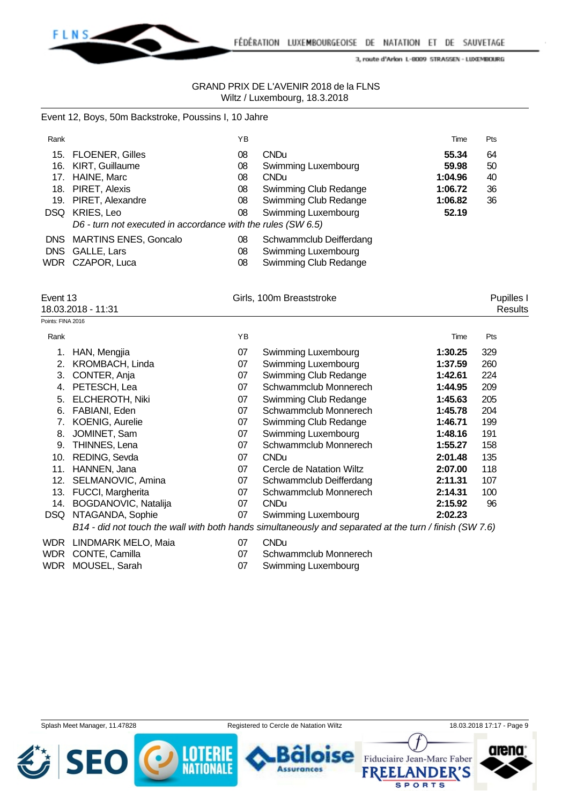

#### GRAND PRIX DE L'AVENIR 2018 de la FLNS Wiltz / Luxembourg, 18.3.2018

#### Event 12, Boys, 50m Backstroke, Poussins I, 10 Jahre

| Rank              |                                                              | YB        |                              | Time    | Pts        |  |
|-------------------|--------------------------------------------------------------|-----------|------------------------------|---------|------------|--|
| 15.               | <b>FLOENER, Gilles</b>                                       | 08        | <b>CNDu</b>                  | 55.34   | 64         |  |
| 16.               | KIRT, Guillaume                                              | 08        | Swimming Luxembourg          | 59.98   | 50         |  |
| 17.               | HAINE, Marc                                                  | 08        | <b>CNDu</b>                  | 1:04.96 | 40         |  |
| 18.               | PIRET, Alexis                                                | 08        | Swimming Club Redange        | 1:06.72 | 36         |  |
| 19.               | PIRET, Alexandre                                             | 08        | Swimming Club Redange        | 1:06.82 | 36         |  |
| <b>DSQ</b>        | KRIES, Leo                                                   | 08        | Swimming Luxembourg          | 52.19   |            |  |
|                   | D6 - turn not executed in accordance with the rules (SW 6.5) |           |                              |         |            |  |
| DNS.              | <b>MARTINS ENES, Goncalo</b>                                 | 08        | Schwammclub Deifferdang      |         |            |  |
| DNS.              | GALLE, Lars                                                  | 08        | Swimming Luxembourg          |         |            |  |
| WDR               | CZAPOR, Luca                                                 | 08        | Swimming Club Redange        |         |            |  |
| Event 13          |                                                              |           | Girls, 100m Breaststroke     |         | Pupilles I |  |
|                   | 18.03.2018 - 11:31                                           |           |                              |         | Results    |  |
| Points: FINA 2016 |                                                              |           |                              |         |            |  |
| Rank              |                                                              | YB        |                              | Time    | Pts        |  |
| 1.                | HAN, Mengjia                                                 | 07        | Swimming Luxembourg          | 1:30.25 | 329        |  |
| 2.                | KROMBACH, Linda                                              | 07        | Swimming Luxembourg          | 1:37.59 | 260        |  |
| 3.                | CONTER, Anja                                                 | 07        | Swimming Club Redange        | 1:42.61 | 224        |  |
| 4.                | PETESCH, Lea                                                 | 07        | Schwammclub Monnerech        | 1:44.95 | 209        |  |
| E.                | <b>EL CUEDOTU NEW</b>                                        | <u>Ω7</u> | <b>Cuimming Club Dodongo</b> | 4.15C2  | 20F        |  |

| 5.  | <b>ELCHEROTH, Niki</b>                                                                                  | 07 | Swimming Club Redange    | 1:45.63 | 205 |  |  |  |  |
|-----|---------------------------------------------------------------------------------------------------------|----|--------------------------|---------|-----|--|--|--|--|
| 6.  | FABIANI, Eden                                                                                           | 07 | Schwammclub Monnerech    | 1:45.78 | 204 |  |  |  |  |
|     | <b>KOENIG, Aurelie</b>                                                                                  | 07 | Swimming Club Redange    | 1:46.71 | 199 |  |  |  |  |
| 8.  | JOMINET, Sam                                                                                            | 07 | Swimming Luxembourg      | 1:48.16 | 191 |  |  |  |  |
|     | 9. THINNES, Lena                                                                                        | 07 | Schwammclub Monnerech    | 1:55.27 | 158 |  |  |  |  |
|     | 10. REDING, Sevda                                                                                       | 07 | <b>CNDu</b>              | 2:01.48 | 135 |  |  |  |  |
|     | 11. HANNEN, Jana                                                                                        | 07 | Cercle de Natation Wiltz | 2:07.00 | 118 |  |  |  |  |
|     | 12. SELMANOVIC, Amina                                                                                   | 07 | Schwammclub Deifferdang  | 2:11.31 | 107 |  |  |  |  |
|     | 13. FUCCI, Margherita                                                                                   | 07 | Schwammclub Monnerech    | 2:14.31 | 100 |  |  |  |  |
| 14. | BOGDANOVIC, Natalija                                                                                    | 07 | <b>CNDu</b>              | 2:15.92 | 96  |  |  |  |  |
|     | DSQ NTAGANDA, Sophie                                                                                    | 07 | Swimming Luxembourg      | 2:02.23 |     |  |  |  |  |
|     | B14 - did not touch the wall with both hands simultaneously and separated at the turn / finish (SW 7.6) |    |                          |         |     |  |  |  |  |

# WDR LINDMARK MELO, Maia 07 CNDu

- 
- 
- 
- WDR CONTE, Camilla 07 Schwammclub Monnerech
- WDR MOUSEL, Sarah 07 Swimming Luxembourg

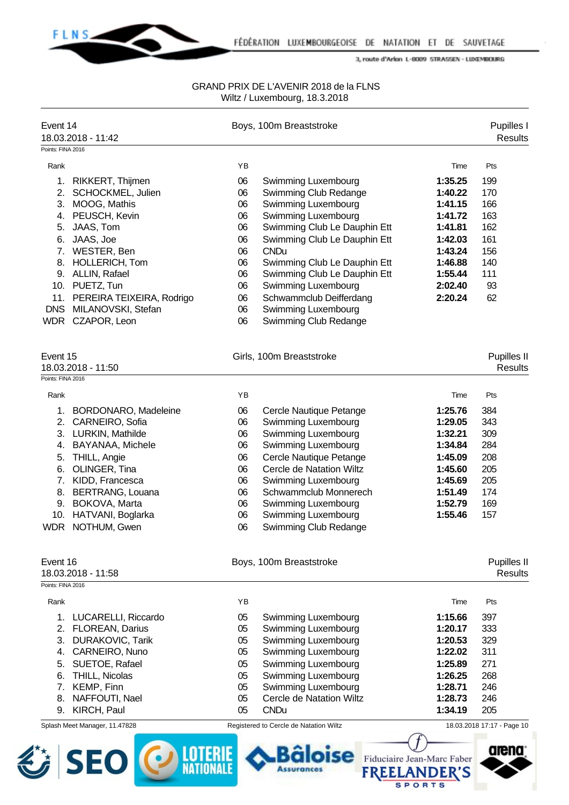

**SPORTS** 

3, route d'Arlon L-8009 STRASSEN - LUXEMBOURG

| Event 14          | 18.03.2018 - 11:42            |    | Boys, 100m Breaststroke                |                            | Pupilles I<br><b>Results</b> |
|-------------------|-------------------------------|----|----------------------------------------|----------------------------|------------------------------|
| Points: FINA 2016 |                               |    |                                        |                            |                              |
| Rank              |                               | YB |                                        | Time                       | Pts                          |
| 1.                | RIKKERT, Thijmen              | 06 | Swimming Luxembourg                    | 1:35.25                    | 199                          |
|                   | 2. SCHOCKMEL, Julien          | 06 | Swimming Club Redange                  | 1:40.22                    | 170                          |
|                   | 3. MOOG, Mathis               | 06 | Swimming Luxembourg                    | 1:41.15                    | 166                          |
|                   | 4. PEUSCH, Kevin              | 06 | Swimming Luxembourg                    | 1:41.72                    | 163                          |
| 5.                | JAAS, Tom                     | 06 | Swimming Club Le Dauphin Ett           | 1:41.81                    | 162                          |
| 6.                | JAAS, Joe                     | 06 | Swimming Club Le Dauphin Ett           | 1:42.03                    | 161                          |
|                   | 7. WESTER, Ben                | 06 | <b>CNDu</b>                            | 1:43.24                    | 156                          |
| 8.                | HOLLERICH, Tom                | 06 | Swimming Club Le Dauphin Ett           | 1:46.88                    | 140                          |
|                   | 9. ALLIN, Rafael              | 06 | Swimming Club Le Dauphin Ett           | 1:55.44                    | 111                          |
|                   | 10. PUETZ, Tun                | 06 | Swimming Luxembourg                    | 2:02.40                    | 93                           |
|                   | 11. PEREIRA TEIXEIRA, Rodrigo | 06 | Schwammclub Deifferdang                | 2:20.24                    | 62                           |
| <b>DNS</b>        | MILANOVSKI, Stefan            | 06 | <b>Swimming Luxembourg</b>             |                            |                              |
|                   | WDR CZAPOR, Leon              | 06 | Swimming Club Redange                  |                            |                              |
| Event 15          |                               |    | Girls, 100m Breaststroke               |                            | Pupilles II                  |
|                   | 18.03.2018 - 11:50            |    |                                        |                            | <b>Results</b>               |
| Points: FINA 2016 |                               |    |                                        |                            |                              |
| Rank              |                               | YB |                                        | Time                       | Pts                          |
| 1.                | <b>BORDONARO, Madeleine</b>   | 06 | Cercle Nautique Petange                | 1:25.76                    | 384                          |
|                   | 2. CARNEIRO, Sofia            | 06 | Swimming Luxembourg                    | 1:29.05                    | 343                          |
|                   | 3. LURKIN, Mathilde           | 06 | Swimming Luxembourg                    | 1:32.21                    | 309                          |
| 4.                | <b>BAYANAA, Michele</b>       | 06 | Swimming Luxembourg                    | 1:34.84                    | 284                          |
| 5.                | THILL, Angie                  | 06 | Cercle Nautique Petange                | 1:45.09                    | 208                          |
| 6.                | OLINGER, Tina                 | 06 | Cercle de Natation Wiltz               | 1:45.60                    | 205                          |
|                   | 7. KIDD, Francesca            | 06 | Swimming Luxembourg                    | 1:45.69                    | 205                          |
| 8.                | <b>BERTRANG, Louana</b>       | 06 | Schwammclub Monnerech                  | 1:51.49                    | 174                          |
|                   | 9. BOKOVA, Marta              | 06 | Swimming Luxembourg                    | 1:52.79                    | 169                          |
|                   | 10. HATVANI, Boglarka         | 06 | Swimming Luxembourg                    | 1:55.46                    | 157                          |
|                   | WDR NOTHUM, Gwen              | 06 | Swimming Club Redange                  |                            |                              |
| Event 16          |                               |    | Boys, 100m Breaststroke                |                            | <b>Pupilles II</b>           |
| Points: FINA 2016 | 18.03.2018 - 11:58            |    |                                        |                            | <b>Results</b>               |
| Rank              |                               | YB |                                        | Time                       | Pts                          |
| 1 <sub>1</sub>    | LUCARELLI, Riccardo           | 05 | Swimming Luxembourg                    | 1:15.66                    | 397                          |
|                   | 2. FLOREAN, Darius            | 05 | Swimming Luxembourg                    | 1:20.17                    | 333                          |
|                   | 3. DURAKOVIC, Tarik           | 05 | Swimming Luxembourg                    | 1:20.53                    | 329                          |
|                   | 4. CARNEIRO, Nuno             | 05 | Swimming Luxembourg                    | 1:22.02                    | 311                          |
| 5.                | SUETOE, Rafael                | 05 | Swimming Luxembourg                    | 1:25.89                    | 271                          |
| 6.                | THILL, Nicolas                | 05 | <b>Swimming Luxembourg</b>             | 1:26.25                    | 268                          |
|                   | 7. KEMP, Finn                 | 05 | Swimming Luxembourg                    | 1:28.71                    | 246                          |
| 8.                | NAFFOUTI, Nael                | 05 | Cercle de Natation Wiltz               | 1:28.73                    | 246                          |
| 9.                | KIRCH, Paul                   | 05 | <b>CNDu</b>                            | 1:34.19                    | 205                          |
|                   | Splash Meet Manager, 11.47828 |    | Registered to Cercle de Natation Wiltz |                            | 18.03.2018 17:17 - Page 10   |
|                   |                               |    |                                        |                            |                              |
|                   | <b>SEO</b>                    |    |                                        | Fiduciaire Jean-Marc Faber | arena                        |
|                   |                               |    |                                        |                            |                              |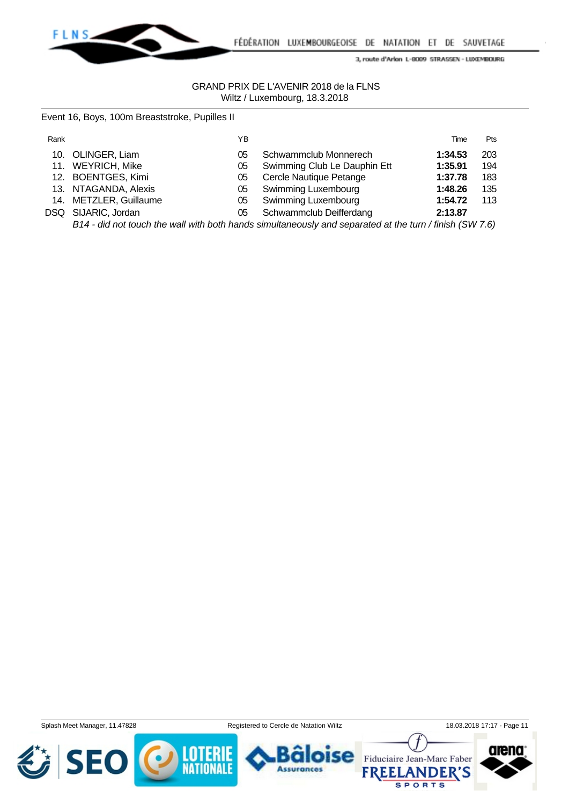

#### GRAND PRIX DE L'AVENIR 2018 de la FLNS Wiltz / Luxembourg, 18.3.2018

|  |  |  | Event 16, Boys, 100m Breaststroke, Pupilles II |  |
|--|--|--|------------------------------------------------|--|
|--|--|--|------------------------------------------------|--|

| Rank |                        | ΥB |                              | Time    | <b>Pts</b> |
|------|------------------------|----|------------------------------|---------|------------|
|      | 10. OLINGER, Liam      | 05 | Schwammclub Monnerech        | 1:34.53 | 203        |
|      | 11. WEYRICH, Mike      | 05 | Swimming Club Le Dauphin Ett | 1:35.91 | 194        |
|      | 12. BOENTGES, Kimi     | 05 | Cercle Nautique Petange      | 1:37.78 | 183        |
|      | 13. NTAGANDA, Alexis   | 05 | <b>Swimming Luxembourg</b>   | 1:48.26 | 135        |
|      | 14. METZLER, Guillaume | 05 | Swimming Luxembourg          | 1:54.72 | 113        |
|      | DSQ SIJARIC, Jordan    | 05 | Schwammclub Deifferdang      | 2:13.87 |            |
|      |                        |    |                              |         |            |

*B14 - did not touch the wall with both hands simultaneously and separated at the turn / finish (SW 7.6)*

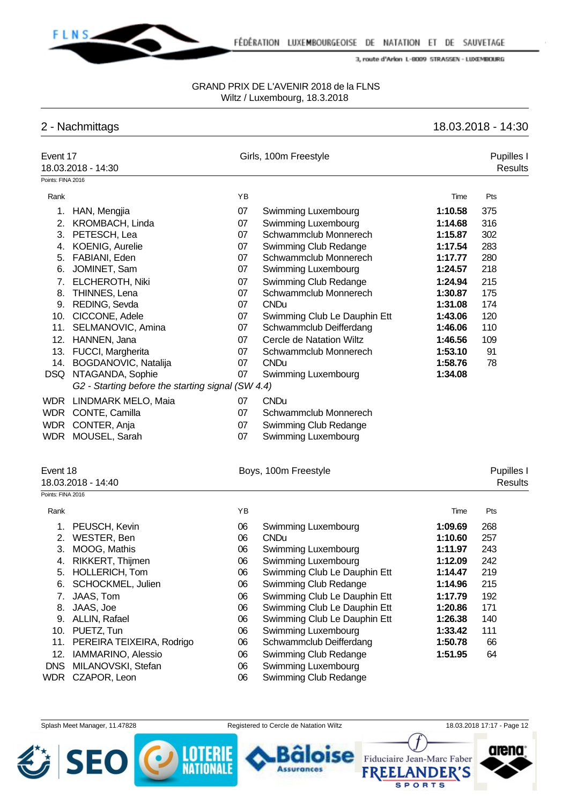

#### GRAND PRIX DE L'AVENIR 2018 de la FLNS Wiltz / Luxembourg, 18.3.2018

## 2 - Nachmittags 18.03.2018 - 14:30

| Event 17<br>18.03.2018 - 14:30 |                                                   |    | Girls, 100m Freestyle        |         | Pupilles I<br>Results |
|--------------------------------|---------------------------------------------------|----|------------------------------|---------|-----------------------|
| Points: FINA 2016              |                                                   |    |                              |         |                       |
| Rank                           |                                                   | YB |                              | Time    | Pts                   |
|                                | 1. HAN, Mengjia                                   | 07 | Swimming Luxembourg          | 1:10.58 | 375                   |
| 2.                             | KROMBACH, Linda                                   | 07 | Swimming Luxembourg          | 1:14.68 | 316                   |
| 3.                             | PETESCH, Lea                                      | 07 | Schwammclub Monnerech        | 1:15.87 | 302                   |
| 4.                             | <b>KOENIG, Aurelie</b>                            | 07 | Swimming Club Redange        | 1:17.54 | 283                   |
| 5.                             | FABIANI, Eden                                     | 07 | Schwammclub Monnerech        | 1:17.77 | 280                   |
| 6.                             | JOMINET, Sam                                      | 07 | Swimming Luxembourg          | 1:24.57 | 218                   |
| 7.                             | <b>ELCHEROTH, Niki</b>                            | 07 | Swimming Club Redange        | 1:24.94 | 215                   |
| 8.                             | THINNES, Lena                                     | 07 | Schwammclub Monnerech        | 1:30.87 | 175                   |
|                                | 9. REDING, Sevda                                  | 07 | <b>CNDu</b>                  | 1:31.08 | 174                   |
|                                | 10. CICCONE, Adele                                | 07 | Swimming Club Le Dauphin Ett | 1:43.06 | 120                   |
|                                | 11. SELMANOVIC, Amina                             | 07 | Schwammclub Deifferdang      | 1:46.06 | 110                   |
|                                | 12. HANNEN, Jana                                  | 07 | Cercle de Natation Wiltz     | 1:46.56 | 109                   |
|                                | 13. FUCCI, Margherita                             | 07 | Schwammclub Monnerech        | 1:53.10 | 91                    |
|                                | 14. BOGDANOVIC, Natalija                          | 07 | <b>CNDu</b>                  | 1:58.76 | 78                    |
|                                | DSQ NTAGANDA, Sophie                              | 07 | Swimming Luxembourg          | 1:34.08 |                       |
|                                | G2 - Starting before the starting signal (SW 4.4) |    |                              |         |                       |
|                                | WDR LINDMARK MELO, Maia                           | 07 | <b>CNDu</b>                  |         |                       |
|                                | WDR CONTE, Camilla                                | 07 | Schwammclub Monnerech        |         |                       |
|                                | WDR CONTER, Anja                                  | 07 | Swimming Club Redange        |         |                       |
|                                | WDR MOUSEL, Sarah                                 | 07 | Swimming Luxembourg          |         |                       |
| Event 18<br>18.03.2018 - 14:40 |                                                   |    | Boys, 100m Freestyle         |         | Pupilles I<br>Results |
| Points: FINA 2016              |                                                   |    |                              |         |                       |
| Rank                           |                                                   | ΥB |                              | Time    | Pts                   |
|                                | 1. PEUSCH, Kevin                                  | 06 | Swimming Luxembourg          | 1:09.69 | 268                   |
|                                | 2. WESTER, Ben                                    | 06 | <b>CNDu</b>                  | 1:10.60 | 257                   |
| 3.                             | MOOG, Mathis                                      | 06 | Swimming Luxembourg          | 1:11.97 | 243                   |
| 4.                             | RIKKERT, Thijmen                                  | 06 | Swimming Luxembourg          | 1:12.09 | 242                   |
|                                | 5. HOLLERICH, Tom                                 | 06 | Swimming Club Le Dauphin Ett | 1:14.47 | 219                   |
| 6.                             | SCHOCKMEL, Julien                                 | 06 | Swimming Club Redange        | 1:14.96 | 215                   |
| 7.                             | JAAS, Tom                                         | 06 | Swimming Club Le Dauphin Ett | 1:17.79 | 192                   |
| 8.                             | JAAS, Joe                                         | 06 | Swimming Club Le Dauphin Ett | 1:20.86 | 171                   |
| 9.                             | ALLIN, Rafael                                     | 06 | Swimming Club Le Dauphin Ett | 1:26.38 | 140                   |
| 10.                            | PUETZ, Tun                                        | 06 | Swimming Luxembourg          | 1:33.42 | 111                   |
| 11.                            | PEREIRA TEIXEIRA, Rodrigo                         | 06 | Schwammclub Deifferdang      | 1:50.78 | 66                    |
| 12.                            | IAMMARINO, Alessio                                | 06 | Swimming Club Redange        | 1:51.95 | 64                    |
|                                | DNS MILANOVSKI, Stefan                            | 06 | Swimming Luxembourg          |         |                       |

WDR CZAPOR, Leon 06 Swimming Club Redange

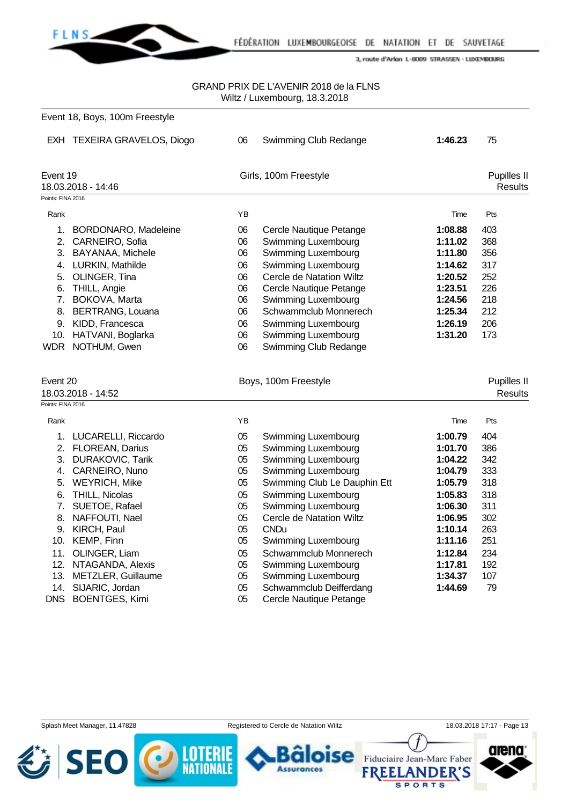

FÉDÉRATION LUXEMBOURGEOISE DE NATATION ET DE SAUVETAGE

3, route d'Arlon L-8009 STRASSEN - LUXEMBOURG

#### GRAND PRIX DE L'AVENIR 2018 de la FLNS Wiltz / Luxembourg, 18.3.2018

| Event 18, Boys, 100m Freestyle                                                                                                                                                                                                                                                                                                      |                                                                                  |                                                                                                                                                                                                                                                                                                                                                   |                                                                                                                                                        |                                                                                               |
|-------------------------------------------------------------------------------------------------------------------------------------------------------------------------------------------------------------------------------------------------------------------------------------------------------------------------------------|----------------------------------------------------------------------------------|---------------------------------------------------------------------------------------------------------------------------------------------------------------------------------------------------------------------------------------------------------------------------------------------------------------------------------------------------|--------------------------------------------------------------------------------------------------------------------------------------------------------|-----------------------------------------------------------------------------------------------|
| EXH TEXEIRA GRAVELOS, Diogo                                                                                                                                                                                                                                                                                                         | 06                                                                               | Swimming Club Redange                                                                                                                                                                                                                                                                                                                             | 1:46.23                                                                                                                                                | 75                                                                                            |
| Event 19<br>18.03.2018 - 14:46                                                                                                                                                                                                                                                                                                      |                                                                                  |                                                                                                                                                                                                                                                                                                                                                   |                                                                                                                                                        | Pupilles II<br><b>Results</b>                                                                 |
|                                                                                                                                                                                                                                                                                                                                     |                                                                                  |                                                                                                                                                                                                                                                                                                                                                   |                                                                                                                                                        |                                                                                               |
|                                                                                                                                                                                                                                                                                                                                     |                                                                                  |                                                                                                                                                                                                                                                                                                                                                   |                                                                                                                                                        | Pts                                                                                           |
| 2. CARNEIRO, Sofia<br>3. BAYANAA, Michele<br>4. LURKIN, Mathilde<br>5. OLINGER, Tina<br>6. THILL, Angie<br>7. BOKOVA, Marta<br>8. BERTRANG, Louana<br>9. KIDD, Francesca<br>10. HATVANI, Boglarka                                                                                                                                   | 06<br>06<br>06<br>06<br>06<br>06<br>06<br>06<br>06                               | Swimming Luxembourg<br><b>Swimming Luxembourg</b><br>Swimming Luxembourg<br>Cercle de Natation Wiltz<br>Cercle Nautique Petange<br>Swimming Luxembourg<br>Schwammclub Monnerech<br>Swimming Luxembourg<br>Swimming Luxembourg                                                                                                                     | 1:11.02<br>1:11.80<br>1:14.62<br>1:20.52<br>1:23.51<br>1:24.56<br>1:25.34<br>1:26.19<br>1:31.20                                                        | 403<br>368<br>356<br>317<br>252<br>226<br>218<br>212<br>206<br>173                            |
| Event 20                                                                                                                                                                                                                                                                                                                            | 06                                                                               |                                                                                                                                                                                                                                                                                                                                                   |                                                                                                                                                        | Pupilles II                                                                                   |
| 18.03.2018 - 14:52                                                                                                                                                                                                                                                                                                                  |                                                                                  |                                                                                                                                                                                                                                                                                                                                                   |                                                                                                                                                        | <b>Results</b>                                                                                |
| Points: FINA 2016                                                                                                                                                                                                                                                                                                                   |                                                                                  |                                                                                                                                                                                                                                                                                                                                                   |                                                                                                                                                        |                                                                                               |
|                                                                                                                                                                                                                                                                                                                                     | ΥB                                                                               |                                                                                                                                                                                                                                                                                                                                                   | Time                                                                                                                                                   | Pts                                                                                           |
| 1. LUCARELLI, Riccardo<br>2. FLOREAN, Darius<br>3. DURAKOVIC, Tarik<br>4. CARNEIRO, Nuno<br>5. WEYRICH, Mike<br>6. THILL, Nicolas<br>7. SUETOE, Rafael<br>8. NAFFOUTI, Nael<br>9. KIRCH, Paul<br>10. KEMP, Finn<br>11. OLINGER, Liam<br>12. NTAGANDA, Alexis<br>13. METZLER, Guillaume<br>14. SIJARIC, Jordan<br>DNS BOENTGES, Kimi | 05<br>05<br>05<br>05<br>05<br>05<br>05<br>05<br>05<br>05<br>05<br>05<br>05<br>05 | Swimming Luxembourg<br>Swimming Luxembourg<br>Swimming Luxembourg<br>Swimming Luxembourg<br>Swimming Club Le Dauphin Ett<br>Swimming Luxembourg<br>Swimming Luxembourg<br>Cercle de Natation Wiltz<br><b>CNDu</b><br>Swimming Luxembourg<br>Schwammclub Monnerech<br>Swimming Luxembourg<br><b>Swimming Luxembourg</b><br>Schwammclub Deifferdang | 1:00.79<br>1:01.70<br>1:04.22<br>1:04.79<br>1:05.79<br>1:05.83<br>1:06.30<br>1:06.95<br>1:10.14<br>1:11.16<br>1:12.84<br>1:17.81<br>1:34.37<br>1:44.69 | 404<br>386<br>342<br>333<br>318<br>318<br>311<br>302<br>263<br>251<br>234<br>192<br>107<br>79 |
|                                                                                                                                                                                                                                                                                                                                     | Points: FINA 2016<br>1. BORDONARO, Madeleine<br>WDR NOTHUM, Gwen                 | YB<br>06                                                                                                                                                                                                                                                                                                                                          | Girls, 100m Freestyle<br>Cercle Nautique Petange<br>Swimming Club Redange<br>Boys, 100m Freestyle<br>05<br>Cercle Nautique Petange                     | Time<br>1:08.88                                                                               |



**Assurances** 







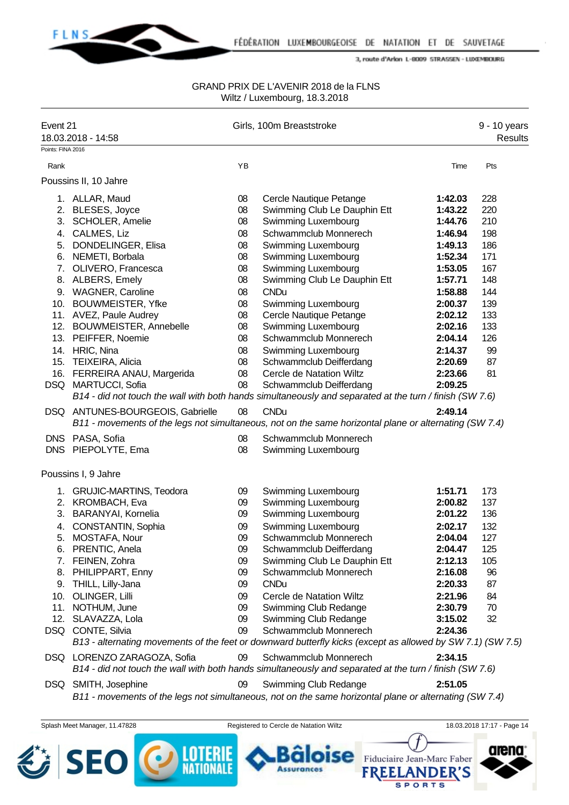

#### GRAND PRIX DE L'AVENIR 2018 de la FLNS Wiltz / Luxembourg, 18.3.2018

| Points: FINA 2016<br>YB<br>Rank<br>Pts<br>Time<br>Poussins II, 10 Jahre<br>08<br>Cercle Nautique Petange<br>228<br>1. ALLAR, Maud<br>1:42.03<br>2. BLESES, Joyce<br>Swimming Club Le Dauphin Ett<br>220<br>08<br>1:43.22<br>3. SCHOLER, Amelie<br>Swimming Luxembourg<br>08<br>1:44.76<br>210<br>4. CALMES, Liz<br>Schwammclub Monnerech<br>198<br>08<br>1:46.94<br>5. DONDELINGER, Elisa<br>Swimming Luxembourg<br>186<br>08<br>1:49.13<br>Swimming Luxembourg<br>1:52.34<br>171<br>6. NEMETI, Borbala<br>08<br>Swimming Luxembourg<br>7. OLIVERO, Francesca<br>08<br>1:53.05<br>167<br>Swimming Club Le Dauphin Ett<br>8. ALBERS, Emely<br>08<br>1:57.71<br>148<br>9. WAGNER, Caroline<br><b>CNDu</b><br>144<br>08<br>1:58.88<br>10. BOUWMEISTER, Yfke<br>Swimming Luxembourg<br>08<br>2:00.37<br>139<br>11. AVEZ, Paule Audrey<br>08<br>Cercle Nautique Petange<br>2:02.12<br>133<br>Swimming Luxembourg<br>12. BOUWMEISTER, Annebelle<br>08<br>2:02.16<br>133<br>Schwammclub Monnerech<br>13. PEIFFER, Noemie<br>08<br>126<br>2:04.14<br>14. HRIC, Nina<br>Swimming Luxembourg<br>08<br>2:14.37<br>99<br>15. TEIXEIRA, Alicia<br>Schwammclub Deifferdang<br>08<br>2:20.69<br>87<br>16. FERREIRA ANAU, Margerida<br>08<br>Cercle de Natation Wiltz<br>81<br>2:23.66<br>DSQ MARTUCCI, Sofia<br>08<br>Schwammclub Deifferdang<br>2:09.25<br>B14 - did not touch the wall with both hands simultaneously and separated at the turn / finish (SW 7.6)<br><b>CNDu</b><br>2:49.14<br>DSQ ANTUNES-BOURGEOIS, Gabrielle<br>08<br>B11 - movements of the legs not simultaneous, not on the same horizontal plane or alternating (SW 7.4)<br>DNS PASA, Sofia<br>08<br>Schwammclub Monnerech<br>DNS PIEPOLYTE, Ema<br>08<br>Swimming Luxembourg<br>Poussins I, 9 Jahre<br>1. GRUJIC-MARTINS, Teodora<br>Swimming Luxembourg<br>1:51.71<br>173<br>09<br>2. KROMBACH, Eva<br>Swimming Luxembourg<br>2:00.82<br>137<br>09<br>3. BARANYAI, Kornelia<br>Swimming Luxembourg<br>09<br>2:01.22<br>136<br>4. CONSTANTIN, Sophia<br>Swimming Luxembourg<br>132<br>09<br>2:02.17<br>Schwammclub Monnerech<br>5. MOSTAFA, Nour<br>09<br>2:04.04<br>127<br>PRENTIC, Anela<br>Schwammclub Deifferdang<br>125<br>09<br>2:04.47<br>6.<br>Swimming Club Le Dauphin Ett<br>7. FEINEN, Zohra<br>2:12.13<br>105<br>09<br>PHILIPPART, Enny<br>Schwammclub Monnerech<br>96<br>8.<br>09<br>2:16.08<br><b>CNDu</b><br>THILL, Lilly-Jana<br>09<br>2:20.33<br>87<br>9.<br>OLINGER, Lilli<br>10.<br>Cercle de Natation Wiltz<br>2:21.96<br>84<br>09<br>11.<br>NOTHUM, June<br>09<br>Swimming Club Redange<br>2:30.79<br>70<br>12. SLAVAZZA, Lola<br>09<br>Swimming Club Redange<br>3:15.02<br>32<br>Schwammclub Monnerech<br>DSQ CONTE, Silvia<br>09<br>2:24.36<br>B13 - alternating movements of the feet or downward butterfly kicks (except as allowed by SW 7.1) (SW 7.5)<br>2:34.15<br>DSQ LORENZO ZARAGOZA, Sofia<br>Schwammclub Monnerech<br>09<br>B14 - did not touch the wall with both hands simultaneously and separated at the turn / finish (SW 7.6)<br>DSQ SMITH, Josephine<br>09<br>Swimming Club Redange<br>2:51.05<br>B11 - movements of the legs not simultaneous, not on the same horizontal plane or alternating (SW 7.4)<br>18.03.2018 17:17 - Page 14<br>Splash Meet Manager, 11.47828<br>Registered to Cercle de Natation Wiltz<br>arena<br><b>SEO</b><br>Fiduciaire Jean-Marc Faber | Event 21<br>18.03.2018 - 14:58 | Girls, 100m Breaststroke |  | Results |
|---------------------------------------------------------------------------------------------------------------------------------------------------------------------------------------------------------------------------------------------------------------------------------------------------------------------------------------------------------------------------------------------------------------------------------------------------------------------------------------------------------------------------------------------------------------------------------------------------------------------------------------------------------------------------------------------------------------------------------------------------------------------------------------------------------------------------------------------------------------------------------------------------------------------------------------------------------------------------------------------------------------------------------------------------------------------------------------------------------------------------------------------------------------------------------------------------------------------------------------------------------------------------------------------------------------------------------------------------------------------------------------------------------------------------------------------------------------------------------------------------------------------------------------------------------------------------------------------------------------------------------------------------------------------------------------------------------------------------------------------------------------------------------------------------------------------------------------------------------------------------------------------------------------------------------------------------------------------------------------------------------------------------------------------------------------------------------------------------------------------------------------------------------------------------------------------------------------------------------------------------------------------------------------------------------------------------------------------------------------------------------------------------------------------------------------------------------------------------------------------------------------------------------------------------------------------------------------------------------------------------------------------------------------------------------------------------------------------------------------------------------------------------------------------------------------------------------------------------------------------------------------------------------------------------------------------------------------------------------------------------------------------------------------------------------------------------------------------------------------------------------------------------------------------------------------------------------------------------------------------------------------------------------------------------------------------------------------------------------------------------|--------------------------------|--------------------------|--|---------|
|                                                                                                                                                                                                                                                                                                                                                                                                                                                                                                                                                                                                                                                                                                                                                                                                                                                                                                                                                                                                                                                                                                                                                                                                                                                                                                                                                                                                                                                                                                                                                                                                                                                                                                                                                                                                                                                                                                                                                                                                                                                                                                                                                                                                                                                                                                                                                                                                                                                                                                                                                                                                                                                                                                                                                                                                                                                                                                                                                                                                                                                                                                                                                                                                                                                                                                                                                                           |                                |                          |  |         |
|                                                                                                                                                                                                                                                                                                                                                                                                                                                                                                                                                                                                                                                                                                                                                                                                                                                                                                                                                                                                                                                                                                                                                                                                                                                                                                                                                                                                                                                                                                                                                                                                                                                                                                                                                                                                                                                                                                                                                                                                                                                                                                                                                                                                                                                                                                                                                                                                                                                                                                                                                                                                                                                                                                                                                                                                                                                                                                                                                                                                                                                                                                                                                                                                                                                                                                                                                                           |                                |                          |  |         |
|                                                                                                                                                                                                                                                                                                                                                                                                                                                                                                                                                                                                                                                                                                                                                                                                                                                                                                                                                                                                                                                                                                                                                                                                                                                                                                                                                                                                                                                                                                                                                                                                                                                                                                                                                                                                                                                                                                                                                                                                                                                                                                                                                                                                                                                                                                                                                                                                                                                                                                                                                                                                                                                                                                                                                                                                                                                                                                                                                                                                                                                                                                                                                                                                                                                                                                                                                                           |                                |                          |  |         |
|                                                                                                                                                                                                                                                                                                                                                                                                                                                                                                                                                                                                                                                                                                                                                                                                                                                                                                                                                                                                                                                                                                                                                                                                                                                                                                                                                                                                                                                                                                                                                                                                                                                                                                                                                                                                                                                                                                                                                                                                                                                                                                                                                                                                                                                                                                                                                                                                                                                                                                                                                                                                                                                                                                                                                                                                                                                                                                                                                                                                                                                                                                                                                                                                                                                                                                                                                                           |                                |                          |  |         |
|                                                                                                                                                                                                                                                                                                                                                                                                                                                                                                                                                                                                                                                                                                                                                                                                                                                                                                                                                                                                                                                                                                                                                                                                                                                                                                                                                                                                                                                                                                                                                                                                                                                                                                                                                                                                                                                                                                                                                                                                                                                                                                                                                                                                                                                                                                                                                                                                                                                                                                                                                                                                                                                                                                                                                                                                                                                                                                                                                                                                                                                                                                                                                                                                                                                                                                                                                                           |                                |                          |  |         |
|                                                                                                                                                                                                                                                                                                                                                                                                                                                                                                                                                                                                                                                                                                                                                                                                                                                                                                                                                                                                                                                                                                                                                                                                                                                                                                                                                                                                                                                                                                                                                                                                                                                                                                                                                                                                                                                                                                                                                                                                                                                                                                                                                                                                                                                                                                                                                                                                                                                                                                                                                                                                                                                                                                                                                                                                                                                                                                                                                                                                                                                                                                                                                                                                                                                                                                                                                                           |                                |                          |  |         |
|                                                                                                                                                                                                                                                                                                                                                                                                                                                                                                                                                                                                                                                                                                                                                                                                                                                                                                                                                                                                                                                                                                                                                                                                                                                                                                                                                                                                                                                                                                                                                                                                                                                                                                                                                                                                                                                                                                                                                                                                                                                                                                                                                                                                                                                                                                                                                                                                                                                                                                                                                                                                                                                                                                                                                                                                                                                                                                                                                                                                                                                                                                                                                                                                                                                                                                                                                                           |                                |                          |  |         |
|                                                                                                                                                                                                                                                                                                                                                                                                                                                                                                                                                                                                                                                                                                                                                                                                                                                                                                                                                                                                                                                                                                                                                                                                                                                                                                                                                                                                                                                                                                                                                                                                                                                                                                                                                                                                                                                                                                                                                                                                                                                                                                                                                                                                                                                                                                                                                                                                                                                                                                                                                                                                                                                                                                                                                                                                                                                                                                                                                                                                                                                                                                                                                                                                                                                                                                                                                                           |                                |                          |  |         |
|                                                                                                                                                                                                                                                                                                                                                                                                                                                                                                                                                                                                                                                                                                                                                                                                                                                                                                                                                                                                                                                                                                                                                                                                                                                                                                                                                                                                                                                                                                                                                                                                                                                                                                                                                                                                                                                                                                                                                                                                                                                                                                                                                                                                                                                                                                                                                                                                                                                                                                                                                                                                                                                                                                                                                                                                                                                                                                                                                                                                                                                                                                                                                                                                                                                                                                                                                                           |                                |                          |  |         |
|                                                                                                                                                                                                                                                                                                                                                                                                                                                                                                                                                                                                                                                                                                                                                                                                                                                                                                                                                                                                                                                                                                                                                                                                                                                                                                                                                                                                                                                                                                                                                                                                                                                                                                                                                                                                                                                                                                                                                                                                                                                                                                                                                                                                                                                                                                                                                                                                                                                                                                                                                                                                                                                                                                                                                                                                                                                                                                                                                                                                                                                                                                                                                                                                                                                                                                                                                                           |                                |                          |  |         |
|                                                                                                                                                                                                                                                                                                                                                                                                                                                                                                                                                                                                                                                                                                                                                                                                                                                                                                                                                                                                                                                                                                                                                                                                                                                                                                                                                                                                                                                                                                                                                                                                                                                                                                                                                                                                                                                                                                                                                                                                                                                                                                                                                                                                                                                                                                                                                                                                                                                                                                                                                                                                                                                                                                                                                                                                                                                                                                                                                                                                                                                                                                                                                                                                                                                                                                                                                                           |                                |                          |  |         |
|                                                                                                                                                                                                                                                                                                                                                                                                                                                                                                                                                                                                                                                                                                                                                                                                                                                                                                                                                                                                                                                                                                                                                                                                                                                                                                                                                                                                                                                                                                                                                                                                                                                                                                                                                                                                                                                                                                                                                                                                                                                                                                                                                                                                                                                                                                                                                                                                                                                                                                                                                                                                                                                                                                                                                                                                                                                                                                                                                                                                                                                                                                                                                                                                                                                                                                                                                                           |                                |                          |  |         |
|                                                                                                                                                                                                                                                                                                                                                                                                                                                                                                                                                                                                                                                                                                                                                                                                                                                                                                                                                                                                                                                                                                                                                                                                                                                                                                                                                                                                                                                                                                                                                                                                                                                                                                                                                                                                                                                                                                                                                                                                                                                                                                                                                                                                                                                                                                                                                                                                                                                                                                                                                                                                                                                                                                                                                                                                                                                                                                                                                                                                                                                                                                                                                                                                                                                                                                                                                                           |                                |                          |  |         |
|                                                                                                                                                                                                                                                                                                                                                                                                                                                                                                                                                                                                                                                                                                                                                                                                                                                                                                                                                                                                                                                                                                                                                                                                                                                                                                                                                                                                                                                                                                                                                                                                                                                                                                                                                                                                                                                                                                                                                                                                                                                                                                                                                                                                                                                                                                                                                                                                                                                                                                                                                                                                                                                                                                                                                                                                                                                                                                                                                                                                                                                                                                                                                                                                                                                                                                                                                                           |                                |                          |  |         |
|                                                                                                                                                                                                                                                                                                                                                                                                                                                                                                                                                                                                                                                                                                                                                                                                                                                                                                                                                                                                                                                                                                                                                                                                                                                                                                                                                                                                                                                                                                                                                                                                                                                                                                                                                                                                                                                                                                                                                                                                                                                                                                                                                                                                                                                                                                                                                                                                                                                                                                                                                                                                                                                                                                                                                                                                                                                                                                                                                                                                                                                                                                                                                                                                                                                                                                                                                                           |                                |                          |  |         |
|                                                                                                                                                                                                                                                                                                                                                                                                                                                                                                                                                                                                                                                                                                                                                                                                                                                                                                                                                                                                                                                                                                                                                                                                                                                                                                                                                                                                                                                                                                                                                                                                                                                                                                                                                                                                                                                                                                                                                                                                                                                                                                                                                                                                                                                                                                                                                                                                                                                                                                                                                                                                                                                                                                                                                                                                                                                                                                                                                                                                                                                                                                                                                                                                                                                                                                                                                                           |                                |                          |  |         |
|                                                                                                                                                                                                                                                                                                                                                                                                                                                                                                                                                                                                                                                                                                                                                                                                                                                                                                                                                                                                                                                                                                                                                                                                                                                                                                                                                                                                                                                                                                                                                                                                                                                                                                                                                                                                                                                                                                                                                                                                                                                                                                                                                                                                                                                                                                                                                                                                                                                                                                                                                                                                                                                                                                                                                                                                                                                                                                                                                                                                                                                                                                                                                                                                                                                                                                                                                                           |                                |                          |  |         |
|                                                                                                                                                                                                                                                                                                                                                                                                                                                                                                                                                                                                                                                                                                                                                                                                                                                                                                                                                                                                                                                                                                                                                                                                                                                                                                                                                                                                                                                                                                                                                                                                                                                                                                                                                                                                                                                                                                                                                                                                                                                                                                                                                                                                                                                                                                                                                                                                                                                                                                                                                                                                                                                                                                                                                                                                                                                                                                                                                                                                                                                                                                                                                                                                                                                                                                                                                                           |                                |                          |  |         |
|                                                                                                                                                                                                                                                                                                                                                                                                                                                                                                                                                                                                                                                                                                                                                                                                                                                                                                                                                                                                                                                                                                                                                                                                                                                                                                                                                                                                                                                                                                                                                                                                                                                                                                                                                                                                                                                                                                                                                                                                                                                                                                                                                                                                                                                                                                                                                                                                                                                                                                                                                                                                                                                                                                                                                                                                                                                                                                                                                                                                                                                                                                                                                                                                                                                                                                                                                                           |                                |                          |  |         |
|                                                                                                                                                                                                                                                                                                                                                                                                                                                                                                                                                                                                                                                                                                                                                                                                                                                                                                                                                                                                                                                                                                                                                                                                                                                                                                                                                                                                                                                                                                                                                                                                                                                                                                                                                                                                                                                                                                                                                                                                                                                                                                                                                                                                                                                                                                                                                                                                                                                                                                                                                                                                                                                                                                                                                                                                                                                                                                                                                                                                                                                                                                                                                                                                                                                                                                                                                                           |                                |                          |  |         |
|                                                                                                                                                                                                                                                                                                                                                                                                                                                                                                                                                                                                                                                                                                                                                                                                                                                                                                                                                                                                                                                                                                                                                                                                                                                                                                                                                                                                                                                                                                                                                                                                                                                                                                                                                                                                                                                                                                                                                                                                                                                                                                                                                                                                                                                                                                                                                                                                                                                                                                                                                                                                                                                                                                                                                                                                                                                                                                                                                                                                                                                                                                                                                                                                                                                                                                                                                                           |                                |                          |  |         |
|                                                                                                                                                                                                                                                                                                                                                                                                                                                                                                                                                                                                                                                                                                                                                                                                                                                                                                                                                                                                                                                                                                                                                                                                                                                                                                                                                                                                                                                                                                                                                                                                                                                                                                                                                                                                                                                                                                                                                                                                                                                                                                                                                                                                                                                                                                                                                                                                                                                                                                                                                                                                                                                                                                                                                                                                                                                                                                                                                                                                                                                                                                                                                                                                                                                                                                                                                                           |                                |                          |  |         |
|                                                                                                                                                                                                                                                                                                                                                                                                                                                                                                                                                                                                                                                                                                                                                                                                                                                                                                                                                                                                                                                                                                                                                                                                                                                                                                                                                                                                                                                                                                                                                                                                                                                                                                                                                                                                                                                                                                                                                                                                                                                                                                                                                                                                                                                                                                                                                                                                                                                                                                                                                                                                                                                                                                                                                                                                                                                                                                                                                                                                                                                                                                                                                                                                                                                                                                                                                                           |                                |                          |  |         |
|                                                                                                                                                                                                                                                                                                                                                                                                                                                                                                                                                                                                                                                                                                                                                                                                                                                                                                                                                                                                                                                                                                                                                                                                                                                                                                                                                                                                                                                                                                                                                                                                                                                                                                                                                                                                                                                                                                                                                                                                                                                                                                                                                                                                                                                                                                                                                                                                                                                                                                                                                                                                                                                                                                                                                                                                                                                                                                                                                                                                                                                                                                                                                                                                                                                                                                                                                                           |                                |                          |  |         |
|                                                                                                                                                                                                                                                                                                                                                                                                                                                                                                                                                                                                                                                                                                                                                                                                                                                                                                                                                                                                                                                                                                                                                                                                                                                                                                                                                                                                                                                                                                                                                                                                                                                                                                                                                                                                                                                                                                                                                                                                                                                                                                                                                                                                                                                                                                                                                                                                                                                                                                                                                                                                                                                                                                                                                                                                                                                                                                                                                                                                                                                                                                                                                                                                                                                                                                                                                                           |                                |                          |  |         |
|                                                                                                                                                                                                                                                                                                                                                                                                                                                                                                                                                                                                                                                                                                                                                                                                                                                                                                                                                                                                                                                                                                                                                                                                                                                                                                                                                                                                                                                                                                                                                                                                                                                                                                                                                                                                                                                                                                                                                                                                                                                                                                                                                                                                                                                                                                                                                                                                                                                                                                                                                                                                                                                                                                                                                                                                                                                                                                                                                                                                                                                                                                                                                                                                                                                                                                                                                                           |                                |                          |  |         |
|                                                                                                                                                                                                                                                                                                                                                                                                                                                                                                                                                                                                                                                                                                                                                                                                                                                                                                                                                                                                                                                                                                                                                                                                                                                                                                                                                                                                                                                                                                                                                                                                                                                                                                                                                                                                                                                                                                                                                                                                                                                                                                                                                                                                                                                                                                                                                                                                                                                                                                                                                                                                                                                                                                                                                                                                                                                                                                                                                                                                                                                                                                                                                                                                                                                                                                                                                                           |                                |                          |  |         |
|                                                                                                                                                                                                                                                                                                                                                                                                                                                                                                                                                                                                                                                                                                                                                                                                                                                                                                                                                                                                                                                                                                                                                                                                                                                                                                                                                                                                                                                                                                                                                                                                                                                                                                                                                                                                                                                                                                                                                                                                                                                                                                                                                                                                                                                                                                                                                                                                                                                                                                                                                                                                                                                                                                                                                                                                                                                                                                                                                                                                                                                                                                                                                                                                                                                                                                                                                                           |                                |                          |  |         |
|                                                                                                                                                                                                                                                                                                                                                                                                                                                                                                                                                                                                                                                                                                                                                                                                                                                                                                                                                                                                                                                                                                                                                                                                                                                                                                                                                                                                                                                                                                                                                                                                                                                                                                                                                                                                                                                                                                                                                                                                                                                                                                                                                                                                                                                                                                                                                                                                                                                                                                                                                                                                                                                                                                                                                                                                                                                                                                                                                                                                                                                                                                                                                                                                                                                                                                                                                                           |                                |                          |  |         |
|                                                                                                                                                                                                                                                                                                                                                                                                                                                                                                                                                                                                                                                                                                                                                                                                                                                                                                                                                                                                                                                                                                                                                                                                                                                                                                                                                                                                                                                                                                                                                                                                                                                                                                                                                                                                                                                                                                                                                                                                                                                                                                                                                                                                                                                                                                                                                                                                                                                                                                                                                                                                                                                                                                                                                                                                                                                                                                                                                                                                                                                                                                                                                                                                                                                                                                                                                                           |                                |                          |  |         |
|                                                                                                                                                                                                                                                                                                                                                                                                                                                                                                                                                                                                                                                                                                                                                                                                                                                                                                                                                                                                                                                                                                                                                                                                                                                                                                                                                                                                                                                                                                                                                                                                                                                                                                                                                                                                                                                                                                                                                                                                                                                                                                                                                                                                                                                                                                                                                                                                                                                                                                                                                                                                                                                                                                                                                                                                                                                                                                                                                                                                                                                                                                                                                                                                                                                                                                                                                                           |                                |                          |  |         |
|                                                                                                                                                                                                                                                                                                                                                                                                                                                                                                                                                                                                                                                                                                                                                                                                                                                                                                                                                                                                                                                                                                                                                                                                                                                                                                                                                                                                                                                                                                                                                                                                                                                                                                                                                                                                                                                                                                                                                                                                                                                                                                                                                                                                                                                                                                                                                                                                                                                                                                                                                                                                                                                                                                                                                                                                                                                                                                                                                                                                                                                                                                                                                                                                                                                                                                                                                                           |                                |                          |  |         |
|                                                                                                                                                                                                                                                                                                                                                                                                                                                                                                                                                                                                                                                                                                                                                                                                                                                                                                                                                                                                                                                                                                                                                                                                                                                                                                                                                                                                                                                                                                                                                                                                                                                                                                                                                                                                                                                                                                                                                                                                                                                                                                                                                                                                                                                                                                                                                                                                                                                                                                                                                                                                                                                                                                                                                                                                                                                                                                                                                                                                                                                                                                                                                                                                                                                                                                                                                                           |                                |                          |  |         |
|                                                                                                                                                                                                                                                                                                                                                                                                                                                                                                                                                                                                                                                                                                                                                                                                                                                                                                                                                                                                                                                                                                                                                                                                                                                                                                                                                                                                                                                                                                                                                                                                                                                                                                                                                                                                                                                                                                                                                                                                                                                                                                                                                                                                                                                                                                                                                                                                                                                                                                                                                                                                                                                                                                                                                                                                                                                                                                                                                                                                                                                                                                                                                                                                                                                                                                                                                                           |                                |                          |  |         |
|                                                                                                                                                                                                                                                                                                                                                                                                                                                                                                                                                                                                                                                                                                                                                                                                                                                                                                                                                                                                                                                                                                                                                                                                                                                                                                                                                                                                                                                                                                                                                                                                                                                                                                                                                                                                                                                                                                                                                                                                                                                                                                                                                                                                                                                                                                                                                                                                                                                                                                                                                                                                                                                                                                                                                                                                                                                                                                                                                                                                                                                                                                                                                                                                                                                                                                                                                                           |                                |                          |  |         |
|                                                                                                                                                                                                                                                                                                                                                                                                                                                                                                                                                                                                                                                                                                                                                                                                                                                                                                                                                                                                                                                                                                                                                                                                                                                                                                                                                                                                                                                                                                                                                                                                                                                                                                                                                                                                                                                                                                                                                                                                                                                                                                                                                                                                                                                                                                                                                                                                                                                                                                                                                                                                                                                                                                                                                                                                                                                                                                                                                                                                                                                                                                                                                                                                                                                                                                                                                                           |                                |                          |  |         |
|                                                                                                                                                                                                                                                                                                                                                                                                                                                                                                                                                                                                                                                                                                                                                                                                                                                                                                                                                                                                                                                                                                                                                                                                                                                                                                                                                                                                                                                                                                                                                                                                                                                                                                                                                                                                                                                                                                                                                                                                                                                                                                                                                                                                                                                                                                                                                                                                                                                                                                                                                                                                                                                                                                                                                                                                                                                                                                                                                                                                                                                                                                                                                                                                                                                                                                                                                                           |                                |                          |  |         |
|                                                                                                                                                                                                                                                                                                                                                                                                                                                                                                                                                                                                                                                                                                                                                                                                                                                                                                                                                                                                                                                                                                                                                                                                                                                                                                                                                                                                                                                                                                                                                                                                                                                                                                                                                                                                                                                                                                                                                                                                                                                                                                                                                                                                                                                                                                                                                                                                                                                                                                                                                                                                                                                                                                                                                                                                                                                                                                                                                                                                                                                                                                                                                                                                                                                                                                                                                                           |                                |                          |  |         |
|                                                                                                                                                                                                                                                                                                                                                                                                                                                                                                                                                                                                                                                                                                                                                                                                                                                                                                                                                                                                                                                                                                                                                                                                                                                                                                                                                                                                                                                                                                                                                                                                                                                                                                                                                                                                                                                                                                                                                                                                                                                                                                                                                                                                                                                                                                                                                                                                                                                                                                                                                                                                                                                                                                                                                                                                                                                                                                                                                                                                                                                                                                                                                                                                                                                                                                                                                                           |                                |                          |  |         |
|                                                                                                                                                                                                                                                                                                                                                                                                                                                                                                                                                                                                                                                                                                                                                                                                                                                                                                                                                                                                                                                                                                                                                                                                                                                                                                                                                                                                                                                                                                                                                                                                                                                                                                                                                                                                                                                                                                                                                                                                                                                                                                                                                                                                                                                                                                                                                                                                                                                                                                                                                                                                                                                                                                                                                                                                                                                                                                                                                                                                                                                                                                                                                                                                                                                                                                                                                                           |                                |                          |  |         |
|                                                                                                                                                                                                                                                                                                                                                                                                                                                                                                                                                                                                                                                                                                                                                                                                                                                                                                                                                                                                                                                                                                                                                                                                                                                                                                                                                                                                                                                                                                                                                                                                                                                                                                                                                                                                                                                                                                                                                                                                                                                                                                                                                                                                                                                                                                                                                                                                                                                                                                                                                                                                                                                                                                                                                                                                                                                                                                                                                                                                                                                                                                                                                                                                                                                                                                                                                                           |                                |                          |  |         |
|                                                                                                                                                                                                                                                                                                                                                                                                                                                                                                                                                                                                                                                                                                                                                                                                                                                                                                                                                                                                                                                                                                                                                                                                                                                                                                                                                                                                                                                                                                                                                                                                                                                                                                                                                                                                                                                                                                                                                                                                                                                                                                                                                                                                                                                                                                                                                                                                                                                                                                                                                                                                                                                                                                                                                                                                                                                                                                                                                                                                                                                                                                                                                                                                                                                                                                                                                                           |                                |                          |  |         |
|                                                                                                                                                                                                                                                                                                                                                                                                                                                                                                                                                                                                                                                                                                                                                                                                                                                                                                                                                                                                                                                                                                                                                                                                                                                                                                                                                                                                                                                                                                                                                                                                                                                                                                                                                                                                                                                                                                                                                                                                                                                                                                                                                                                                                                                                                                                                                                                                                                                                                                                                                                                                                                                                                                                                                                                                                                                                                                                                                                                                                                                                                                                                                                                                                                                                                                                                                                           |                                |                          |  |         |
|                                                                                                                                                                                                                                                                                                                                                                                                                                                                                                                                                                                                                                                                                                                                                                                                                                                                                                                                                                                                                                                                                                                                                                                                                                                                                                                                                                                                                                                                                                                                                                                                                                                                                                                                                                                                                                                                                                                                                                                                                                                                                                                                                                                                                                                                                                                                                                                                                                                                                                                                                                                                                                                                                                                                                                                                                                                                                                                                                                                                                                                                                                                                                                                                                                                                                                                                                                           |                                |                          |  |         |

**FREELANDER'S SPORTS**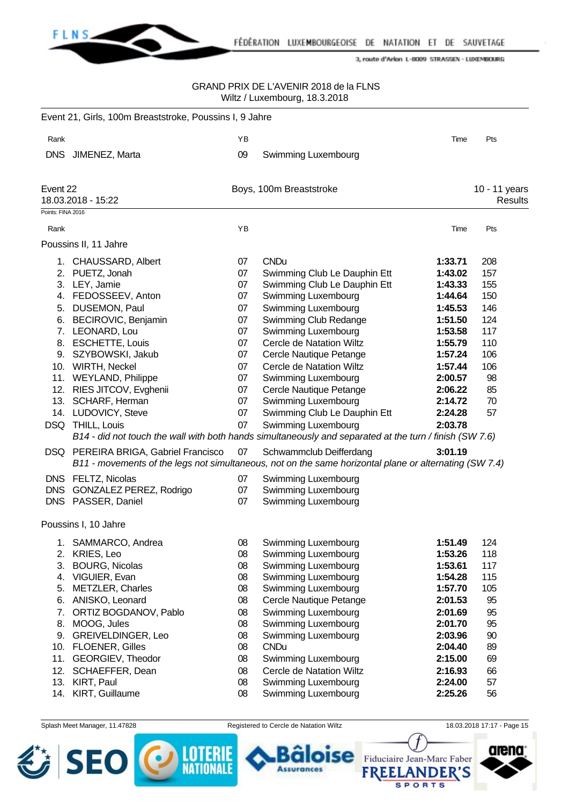

#### GRAND PRIX DE L'AVENIR 2018 de la FLNS Wiltz / Luxembourg, 18.3.2018

|                   | Event 21, Girls, 100m Breaststroke, Poussins I, 9 Jahre |    |                                                                                                                                   |         |                                 |
|-------------------|---------------------------------------------------------|----|-----------------------------------------------------------------------------------------------------------------------------------|---------|---------------------------------|
| Rank              |                                                         | YB |                                                                                                                                   | Time    | Pts                             |
|                   | DNS JIMENEZ, Marta                                      | 09 | Swimming Luxembourg                                                                                                               |         |                                 |
| Event 22          | 18.03.2018 - 15:22                                      |    | Boys, 100m Breaststroke                                                                                                           |         | 10 - 11 years<br><b>Results</b> |
| Points: FINA 2016 |                                                         |    |                                                                                                                                   |         |                                 |
| Rank              |                                                         | YB |                                                                                                                                   | Time    | Pts                             |
|                   | Poussins II, 11 Jahre                                   |    |                                                                                                                                   |         |                                 |
|                   | 1. CHAUSSARD, Albert                                    | 07 | <b>CNDu</b>                                                                                                                       | 1:33.71 | 208                             |
|                   | 2. PUETZ, Jonah                                         | 07 | Swimming Club Le Dauphin Ett                                                                                                      | 1:43.02 | 157                             |
|                   | 3. LEY, Jamie                                           | 07 | Swimming Club Le Dauphin Ett                                                                                                      | 1:43.33 | 155                             |
|                   | 4. FEDOSSEEV, Anton                                     | 07 | Swimming Luxembourg                                                                                                               | 1:44.64 | 150                             |
|                   | 5. DUSEMON, Paul                                        | 07 | Swimming Luxembourg                                                                                                               | 1:45.53 | 146                             |
|                   | 6. BECIROVIC, Benjamin                                  | 07 | Swimming Club Redange                                                                                                             | 1:51.50 | 124                             |
|                   | 7. LEONARD, Lou                                         | 07 | Swimming Luxembourg                                                                                                               | 1:53.58 | 117                             |
| 8.                | <b>ESCHETTE, Louis</b>                                  | 07 | Cercle de Natation Wiltz                                                                                                          | 1:55.79 | 110                             |
|                   | 9. SZYBOWSKI, Jakub                                     | 07 | Cercle Nautique Petange                                                                                                           | 1:57.24 | 106                             |
|                   | 10. WIRTH, Neckel                                       | 07 | Cercle de Natation Wiltz                                                                                                          | 1:57.44 | 106                             |
|                   | 11. WEYLAND, Philippe                                   | 07 | Swimming Luxembourg                                                                                                               | 2:00.57 | 98                              |
| 12.               | RIES JITCOV, Evghenii                                   | 07 | Cercle Nautique Petange                                                                                                           | 2:06.22 | 85                              |
|                   | 13. SCHARF, Herman                                      | 07 | Swimming Luxembourg                                                                                                               | 2:14.72 | 70                              |
|                   | 14. LUDOVICY, Steve                                     | 07 | Swimming Club Le Dauphin Ett                                                                                                      | 2:24.28 | 57                              |
|                   | DSQ THILL, Louis                                        | 07 | Swimming Luxembourg                                                                                                               | 2:03.78 |                                 |
|                   |                                                         |    | B14 - did not touch the wall with both hands simultaneously and separated at the turn / finish (SW 7.6)                           |         |                                 |
|                   | DSQ PEREIRA BRIGA, Gabriel Francisco                    | 07 | Schwammclub Deifferdang<br>B11 - movements of the legs not simultaneous, not on the same horizontal plane or alternating (SW 7.4) | 3:01.19 |                                 |
|                   | DNS FELTZ, Nicolas                                      | 07 | Swimming Luxembourg                                                                                                               |         |                                 |
|                   | DNS GONZALEZ PEREZ, Rodrigo                             | 07 | Swimming Luxembourg                                                                                                               |         |                                 |
|                   | DNS PASSER, Daniel                                      | 07 | Swimming Luxembourg                                                                                                               |         |                                 |
|                   | Poussins I, 10 Jahre                                    |    |                                                                                                                                   |         |                                 |
| 1.                | SAMMARCO, Andrea                                        | 08 | Swimming Luxembourg                                                                                                               | 1:51.49 | 124                             |
|                   | 2. KRIES, Leo                                           | 08 | Swimming Luxembourg                                                                                                               | 1:53.26 | 118                             |
| 3.                | <b>BOURG, Nicolas</b>                                   | 08 | Swimming Luxembourg                                                                                                               | 1:53.61 | 117                             |
|                   | 4. VIGUIER, Evan                                        | 08 | Swimming Luxembourg                                                                                                               | 1:54.28 | 115                             |
| 5.                | METZLER, Charles                                        | 08 | Swimming Luxembourg                                                                                                               | 1:57.70 | 105                             |
| 6.                | ANISKO, Leonard                                         | 08 | Cercle Nautique Petange                                                                                                           | 2:01.53 | 95                              |
| 7.                | ORTIZ BOGDANOV, Pablo                                   | 08 | Swimming Luxembourg                                                                                                               | 2:01.69 | 95                              |
| 8.                | MOOG, Jules                                             | 08 | Swimming Luxembourg                                                                                                               | 2:01.70 | 95                              |
| 9.                | <b>GREIVELDINGER, Leo</b>                               | 08 | Swimming Luxembourg                                                                                                               | 2:03.96 | 90                              |
|                   | 10. FLOENER, Gilles                                     | 08 | <b>CNDu</b>                                                                                                                       | 2:04.40 | 89                              |
| 11.               | GEORGIEV, Theodor                                       | 08 | Swimming Luxembourg                                                                                                               | 2:15.00 | 69                              |
| 12.               | SCHAEFFER, Dean                                         | 08 | Cercle de Natation Wiltz                                                                                                          | 2:16.93 | 66                              |
|                   | 13. KIRT, Paul                                          | 08 | Swimming Luxembourg                                                                                                               | 2:24.00 | 57                              |
|                   | 14. KIRT, Guillaume                                     | 08 | Swimming Luxembourg                                                                                                               | 2:25.26 | 56                              |
|                   |                                                         |    |                                                                                                                                   |         |                                 |

Splash Meet Manager, 11.47828 Registered to Cercle de Natation Wiltz 18.03.2018 17:17 - Page 15 SE se Fiduciaire Jean-Marc Faber

**Assurances** 



**FREELANDER'S SPORTS** 

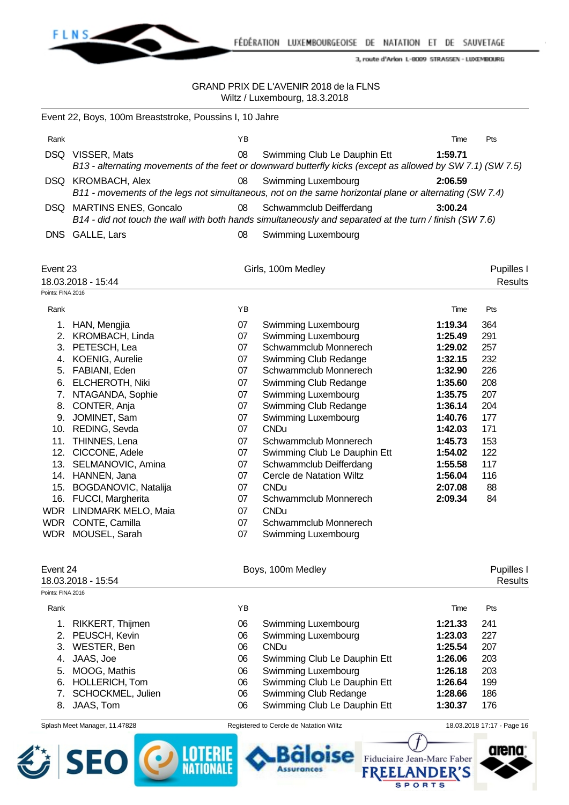

FÉDÉRATION LUXEMBOURGEOISE DE NATATION ET DE SAUVETAGE

3, route d'Arlon L-8009 STRASSEN - LUXEMBOURG

#### GRAND PRIX DE L'AVENIR 2018 de la FLNS Wiltz / Luxembourg, 18.3.2018

| Event 22, Boys, 100m Breaststroke, Poussins I, 10 Jahre |                           |    |                                                                                                                                            |         |            |  |  |  |
|---------------------------------------------------------|---------------------------|----|--------------------------------------------------------------------------------------------------------------------------------------------|---------|------------|--|--|--|
| Rank                                                    |                           | ΥB |                                                                                                                                            | Time    | <b>Pts</b> |  |  |  |
| DSQ.                                                    | VISSER, Mats              | 08 | Swimming Club Le Dauphin Ett<br>B13 - alternating movements of the feet or downward butterfly kicks (except as allowed by SW 7.1) (SW 7.5) | 1:59.71 |            |  |  |  |
|                                                         | DSQ KROMBACH, Alex        | 08 | Swimming Luxembourg<br>B11 - movements of the legs not simultaneous, not on the same horizontal plane or alternating (SW 7.4)              | 2:06.59 |            |  |  |  |
|                                                         | DSQ MARTINS ENES, Goncalo | 08 | Schwammclub Deifferdang<br>B14 - did not touch the wall with both hands simultaneously and separated at the turn / finish (SW 7.6)         | 3:00.24 |            |  |  |  |
|                                                         | DNS GALLE, Lars           | 08 | Swimming Luxembourg                                                                                                                        |         |            |  |  |  |

| Event 23          |                        |    | Girls, 100m Medley           |         |                |
|-------------------|------------------------|----|------------------------------|---------|----------------|
|                   | 18.03.2018 - 15:44     |    |                              |         | <b>Results</b> |
| Points: FINA 2016 |                        |    |                              |         |                |
| Rank              |                        | YB |                              | Time    | Pts            |
| 1.                | HAN, Mengjia           | 07 | Swimming Luxembourg          | 1:19.34 | 364            |
| 2.                | <b>KROMBACH, Linda</b> | 07 | Swimming Luxembourg          | 1:25.49 | 291            |
| 3.                | PETESCH, Lea           | 07 | Schwammclub Monnerech        | 1:29.02 | 257            |
| 4.                | KOENIG, Aurelie        | 07 | Swimming Club Redange        | 1:32.15 | 232            |
| 5.                | FABIANI, Eden          | 07 | Schwammclub Monnerech        | 1:32.90 | 226            |
| 6.                | <b>ELCHEROTH, Niki</b> | 07 | Swimming Club Redange        | 1:35.60 | 208            |
| 7.                | NTAGANDA, Sophie       | 07 | Swimming Luxembourg          | 1:35.75 | 207            |
| 8.                | CONTER, Anja           | 07 | Swimming Club Redange        | 1:36.14 | 204            |
| 9.                | JOMINET, Sam           | 07 | Swimming Luxembourg          | 1:40.76 | 177            |
| 10.               | REDING, Sevda          | 07 | <b>CNDu</b>                  | 1:42.03 | 171            |
| 11.               | THINNES, Lena          | 07 | Schwammclub Monnerech        | 1:45.73 | 153            |
| 12.               | CICCONE, Adele         | 07 | Swimming Club Le Dauphin Ett | 1:54.02 | 122            |
| 13.               | SELMANOVIC, Amina      | 07 | Schwammclub Deifferdang      | 1:55.58 | 117            |
| 14.               | HANNEN, Jana           | 07 | Cercle de Natation Wiltz     | 1:56.04 | 116            |
| 15.               | BOGDANOVIC, Natalija   | 07 | <b>CNDu</b>                  | 2:07.08 | 88             |
| 16.               | FUCCI, Margherita      | 07 | Schwammclub Monnerech        | 2:09.34 | 84             |
| <b>WDR</b>        | LINDMARK MELO, Maia    | 07 | <b>CNDu</b>                  |         |                |
| <b>WDR</b>        | CONTE, Camilla         | 07 | Schwammclub Monnerech        |         |                |
| <b>WDR</b>        | MOUSEL, Sarah          | 07 | Swimming Luxembourg          |         |                |
| Event 24          |                        |    | Boys, 100m Medley            |         | Pupilles I     |
|                   | 18.03.2018 - 15:54     |    |                              |         | <b>Results</b> |
| Points: FINA 2016 |                        |    |                              |         |                |
| Rank              |                        | YB |                              | Time    | Pts            |

| . |                      |    |                              | .       |     |  |
|---|----------------------|----|------------------------------|---------|-----|--|
|   | 1. RIKKERT, Thijmen  | 06 | Swimming Luxembourg          | 1:21.33 | 241 |  |
|   | 2. PEUSCH, Kevin     | 06 | Swimming Luxembourg          | 1:23.03 | 227 |  |
|   | 3. WESTER, Ben       | 06 | <b>CNDu</b>                  | 1:25.54 | 207 |  |
|   | 4. JAAS, Joe         | 06 | Swimming Club Le Dauphin Ett | 1:26.06 | 203 |  |
|   | 5. MOOG, Mathis      | 06 | Swimming Luxembourg          | 1:26.18 | 203 |  |
|   | 6. HOLLERICH, Tom    | 06 | Swimming Club Le Dauphin Ett | 1:26.64 | 199 |  |
|   | 7. SCHOCKMEL, Julien | 06 | Swimming Club Redange        | 1:28.66 | 186 |  |
|   | 8. JAAS, Tom         | 06 | Swimming Club Le Dauphin Ett | 1:30.37 | 176 |  |
|   |                      |    |                              |         |     |  |



Splash Meet Manager, 11.47828 Registered to Cercle de Natation Wiltz 18.03.2018 17:17 - Page 16

**Assurances** 

se

**SPORTS** 

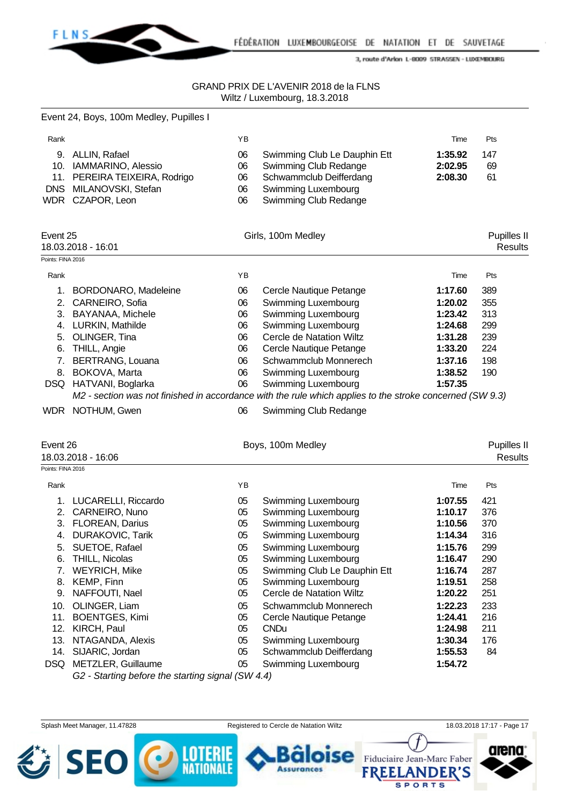

|                   | Event 24, Boys, 100m Medley, Pupilles I                                     |     |                                                                                                          |         |                               |
|-------------------|-----------------------------------------------------------------------------|-----|----------------------------------------------------------------------------------------------------------|---------|-------------------------------|
| Rank              |                                                                             | YB  |                                                                                                          | Time    | Pts                           |
|                   | 9. ALLIN, Rafael                                                            | 06  | Swimming Club Le Dauphin Ett                                                                             | 1:35.92 | 147                           |
|                   | 10. IAMMARINO, Alessio                                                      | 06  | Swimming Club Redange                                                                                    | 2:02.95 | 69                            |
|                   | 11. PEREIRA TEIXEIRA, Rodrigo                                               | 06  | Schwammclub Deifferdang                                                                                  | 2:08.30 | 61                            |
|                   | DNS MILANOVSKI, Stefan                                                      | 06  | Swimming Luxembourg                                                                                      |         |                               |
|                   | WDR CZAPOR, Leon                                                            | 06  | Swimming Club Redange                                                                                    |         |                               |
| Event 25          |                                                                             |     |                                                                                                          |         |                               |
|                   | 18.03.2018 - 16:01                                                          |     | Girls, 100m Medley                                                                                       |         | Pupilles II<br><b>Results</b> |
| Points: FINA 2016 |                                                                             |     |                                                                                                          |         |                               |
|                   |                                                                             |     |                                                                                                          |         |                               |
| Rank              |                                                                             | YB. |                                                                                                          | Time    | Pts                           |
|                   | 1. BORDONARO, Madeleine                                                     | 06  | Cercle Nautique Petange                                                                                  | 1:17.60 | 389                           |
|                   | 2. CARNEIRO, Sofia                                                          | 06  | Swimming Luxembourg                                                                                      | 1:20.02 | 355                           |
|                   | 3. BAYANAA, Michele                                                         | 06  | Swimming Luxembourg                                                                                      | 1:23.42 | 313                           |
|                   | 4. LURKIN, Mathilde                                                         | 06  | Swimming Luxembourg                                                                                      | 1:24.68 | 299                           |
|                   | 5. OLINGER, Tina                                                            | 06  | Cercle de Natation Wiltz                                                                                 | 1:31.28 | 239                           |
|                   | 6. THILL, Angie                                                             | 06  | Cercle Nautique Petange                                                                                  | 1:33.20 | 224                           |
|                   | 7. BERTRANG, Louana                                                         | 06  | Schwammclub Monnerech                                                                                    | 1:37.16 | 198                           |
|                   | 8. BOKOVA, Marta                                                            | 06  | Swimming Luxembourg                                                                                      | 1:38.52 | 190                           |
|                   | DSQ HATVANI, Boglarka                                                       | 06  | Swimming Luxembourg                                                                                      | 1:57.35 |                               |
|                   |                                                                             |     | M2 - section was not finished in accordance with the rule which applies to the stroke concerned (SW 9.3) |         |                               |
|                   | WDR NOTHUM, Gwen                                                            | 06  | Swimming Club Redange                                                                                    |         |                               |
| Event 26          |                                                                             |     | Boys, 100m Medley                                                                                        |         | Pupilles II                   |
|                   | 18.03.2018 - 16:06                                                          |     |                                                                                                          |         | <b>Results</b>                |
| Points: FINA 2016 |                                                                             |     |                                                                                                          |         |                               |
| Rank              |                                                                             | ΥB  |                                                                                                          | Time    | Pts                           |
|                   | 1. LUCARELLI, Riccardo                                                      | 05  | Swimming Luxembourg                                                                                      | 1:07.55 | 421                           |
|                   | 2. CARNEIRO, Nuno                                                           | 05  | Swimming Luxembourg                                                                                      | 1:10.17 | 376                           |
|                   | 3. FLOREAN, Darius                                                          | 05  | Swimming Luxembourg                                                                                      | 1:10.56 | 370                           |
|                   | 4. DURAKOVIC, Tarik                                                         | 05  | Swimming Luxembourg                                                                                      | 1:14.34 | 316                           |
|                   | 5. SUETOE, Rafael                                                           | 05  | Swimming Luxembourg                                                                                      | 1:15.76 | 299                           |
| 6.                | THILL, Nicolas                                                              | 05  | Swimming Luxembourg                                                                                      | 1:16.47 | 290                           |
|                   | 7. WEYRICH, Mike                                                            | 05  | Swimming Club Le Dauphin Ett                                                                             | 1:16.74 | 287                           |
| 8.                | KEMP, Finn                                                                  | 05  | Swimming Luxembourg                                                                                      | 1:19.51 | 258                           |
|                   | 9. NAFFOUTI, Nael                                                           | 05  | <b>Cercle de Natation Wiltz</b>                                                                          | 1:20.22 | 251                           |
| 10.               | OLINGER, Liam                                                               | 05  | Schwammclub Monnerech                                                                                    | 1:22.23 | 233                           |
| 11.               | <b>BOENTGES, Kimi</b>                                                       | 05  | Cercle Nautique Petange                                                                                  | 1:24.41 | 216                           |
| 12.               | KIRCH, Paul<br>NTAGANDA, Alexis                                             | 05  | <b>CNDu</b>                                                                                              | 1:24.98 | 211                           |
| 13.               |                                                                             | 05  | Swimming Luxembourg                                                                                      | 1:30.34 | 176                           |
|                   |                                                                             |     |                                                                                                          |         |                               |
| 14.               | SIJARIC, Jordan                                                             | 05  | Schwammclub Deifferdang                                                                                  | 1:55.53 | 84                            |
|                   | DSQ METZLER, Guillaume<br>G2 - Starting before the starting signal (SW 4.4) | 05  | Swimming Luxembourg                                                                                      | 1:54.72 |                               |

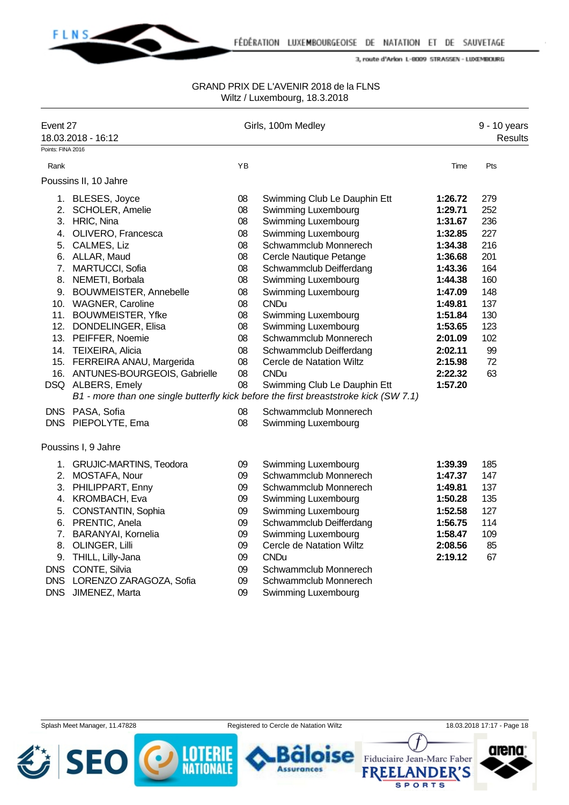

#### GRAND PRIX DE L'AVENIR 2018 de la FLNS Wiltz / Luxembourg, 18.3.2018

| Event 27<br>18.03.2018 - 16:12 |                                                                                                                                                                                                                                                                                                                                                                                             |                                                                                              | Girls, 100m Medley                                                                                                                                                                                                                                                                                                                                                                                |                                                                                                                                                                              | 9 - 10 years<br><b>Results</b>                                                                            |
|--------------------------------|---------------------------------------------------------------------------------------------------------------------------------------------------------------------------------------------------------------------------------------------------------------------------------------------------------------------------------------------------------------------------------------------|----------------------------------------------------------------------------------------------|---------------------------------------------------------------------------------------------------------------------------------------------------------------------------------------------------------------------------------------------------------------------------------------------------------------------------------------------------------------------------------------------------|------------------------------------------------------------------------------------------------------------------------------------------------------------------------------|-----------------------------------------------------------------------------------------------------------|
| Points: FINA 2016              |                                                                                                                                                                                                                                                                                                                                                                                             |                                                                                              |                                                                                                                                                                                                                                                                                                                                                                                                   |                                                                                                                                                                              |                                                                                                           |
| Rank                           |                                                                                                                                                                                                                                                                                                                                                                                             | YB                                                                                           |                                                                                                                                                                                                                                                                                                                                                                                                   | Time                                                                                                                                                                         | Pts                                                                                                       |
|                                | Poussins II, 10 Jahre                                                                                                                                                                                                                                                                                                                                                                       |                                                                                              |                                                                                                                                                                                                                                                                                                                                                                                                   |                                                                                                                                                                              |                                                                                                           |
|                                | 1. BLESES, Joyce<br>2. SCHOLER, Amelie<br>3. HRIC, Nina<br>4. OLIVERO, Francesca<br>5. CALMES, Liz<br>6. ALLAR, Maud<br>7. MARTUCCI, Sofia<br>8. NEMETI, Borbala<br>9. BOUWMEISTER, Annebelle<br>10. WAGNER, Caroline<br>11. BOUWMEISTER, Yfke<br>12. DONDELINGER, Elisa<br>13. PEIFFER, Noemie<br>14. TEIXEIRA, Alicia<br>15. FERREIRA ANAU, Margerida<br>16. ANTUNES-BOURGEOIS, Gabrielle | 08<br>08<br>08<br>08<br>08<br>08<br>08<br>08<br>08<br>08<br>08<br>08<br>08<br>08<br>08<br>08 | Swimming Club Le Dauphin Ett<br>Swimming Luxembourg<br>Swimming Luxembourg<br>Swimming Luxembourg<br>Schwammclub Monnerech<br>Cercle Nautique Petange<br>Schwammclub Deifferdang<br><b>Swimming Luxembourg</b><br>Swimming Luxembourg<br><b>CNDu</b><br>Swimming Luxembourg<br>Swimming Luxembourg<br>Schwammclub Monnerech<br>Schwammclub Deifferdang<br>Cercle de Natation Wiltz<br><b>CNDu</b> | 1:26.72<br>1:29.71<br>1:31.67<br>1:32.85<br>1:34.38<br>1:36.68<br>1:43.36<br>1:44.38<br>1:47.09<br>1:49.81<br>1:51.84<br>1:53.65<br>2:01.09<br>2:02.11<br>2:15.98<br>2:22.32 | 279<br>252<br>236<br>227<br>216<br>201<br>164<br>160<br>148<br>137<br>130<br>123<br>102<br>99<br>72<br>63 |
|                                | DSQ ALBERS, Emely                                                                                                                                                                                                                                                                                                                                                                           | 08                                                                                           | Swimming Club Le Dauphin Ett<br>B1 - more than one single butterfly kick before the first breaststroke kick (SW 7.1)                                                                                                                                                                                                                                                                              | 1:57.20                                                                                                                                                                      |                                                                                                           |
|                                | DNS PASA, Sofia<br>DNS PIEPOLYTE, Ema                                                                                                                                                                                                                                                                                                                                                       | 08<br>08                                                                                     | Schwammclub Monnerech<br>Swimming Luxembourg                                                                                                                                                                                                                                                                                                                                                      |                                                                                                                                                                              |                                                                                                           |
|                                | Poussins I, 9 Jahre<br>1. GRUJIC-MARTINS, Teodora<br>2. MOSTAFA, Nour<br>3. PHILIPPART, Enny<br>4. KROMBACH, Eva<br>5. CONSTANTIN, Sophia<br>6. PRENTIC, Anela<br>7. BARANYAI, Kornelia<br>8. OLINGER, Lilli<br>9. THILL, Lilly-Jana<br>DNS CONTE, Silvia<br>DNS LORENZO ZARAGOZA, Sofia<br>DNS JIMENEZ, Marta                                                                              | 09<br>09<br>09<br>09<br>09<br>09<br>09<br>09<br>09<br>09<br>09<br>09                         | Swimming Luxembourg<br>Schwammclub Monnerech<br>Schwammclub Monnerech<br>Swimming Luxembourg<br>Swimming Luxembourg<br>Schwammclub Deifferdang<br>Swimming Luxembourg<br>Cercle de Natation Wiltz<br><b>CNDu</b><br>Schwammclub Monnerech<br>Schwammclub Monnerech<br>Swimming Luxembourg                                                                                                         | 1:39.39<br>1:47.37<br>1:49.81<br>1:50.28<br>1:52.58<br>1:56.75<br>1:58.47<br>2:08.56<br>2:19.12                                                                              | 185<br>147<br>137<br>135<br>127<br>114<br>109<br>85<br>67                                                 |

Splash Meet Manager, 11.47828 Registered to Cercle de Natation Wiltz 18.03.2018 17:17 - Page 18





**Assurances** 



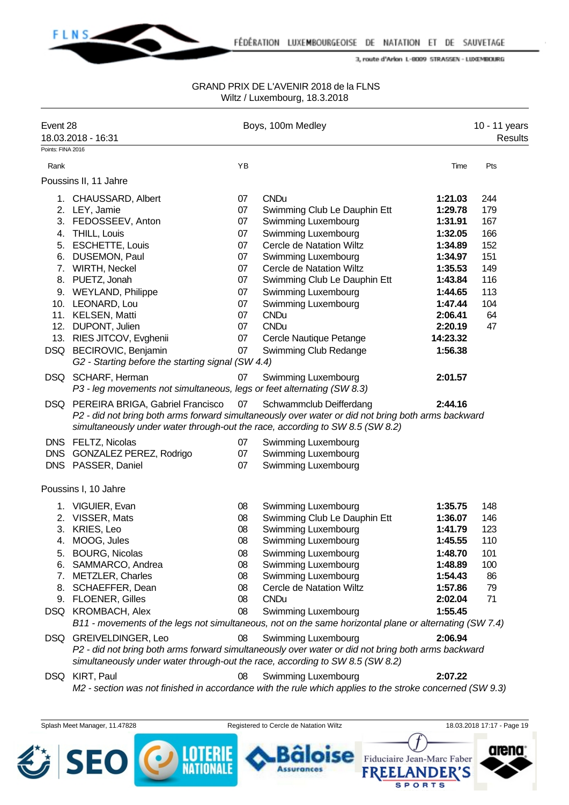

## GRAND PRIX DE L'AVENIR 2018 de la FLNS Wiltz / Luxembourg, 18.3.2018

| Event 28          | 18.03.2018 - 16:31                                                                                                                                                                                            |          | Boys, 100m Medley                                        |                            | 10 - 11 years<br>Results   |
|-------------------|---------------------------------------------------------------------------------------------------------------------------------------------------------------------------------------------------------------|----------|----------------------------------------------------------|----------------------------|----------------------------|
| Points: FINA 2016 |                                                                                                                                                                                                               |          |                                                          |                            |                            |
| Rank              |                                                                                                                                                                                                               | YB       |                                                          | Time                       | Pts                        |
|                   | Poussins II, 11 Jahre                                                                                                                                                                                         |          |                                                          |                            |                            |
|                   | 1. CHAUSSARD, Albert                                                                                                                                                                                          | 07       | <b>CNDu</b>                                              | 1:21.03                    | 244                        |
|                   | 2. LEY, Jamie                                                                                                                                                                                                 | 07       | Swimming Club Le Dauphin Ett                             | 1:29.78                    | 179                        |
|                   | 3. FEDOSSEEV, Anton                                                                                                                                                                                           | 07       | Swimming Luxembourg                                      | 1:31.91                    | 167                        |
|                   | 4. THILL, Louis                                                                                                                                                                                               | 07       | Swimming Luxembourg                                      | 1:32.05                    | 166                        |
|                   | 5. ESCHETTE, Louis                                                                                                                                                                                            | 07       | Cercle de Natation Wiltz                                 | 1:34.89                    | 152                        |
|                   | 6. DUSEMON, Paul                                                                                                                                                                                              | 07       | Swimming Luxembourg                                      | 1:34.97                    | 151                        |
|                   | 7. WIRTH, Neckel                                                                                                                                                                                              | 07       | Cercle de Natation Wiltz                                 | 1:35.53                    | 149                        |
|                   | 8. PUETZ, Jonah                                                                                                                                                                                               | 07       | Swimming Club Le Dauphin Ett                             | 1:43.84                    | 116                        |
|                   | 9. WEYLAND, Philippe                                                                                                                                                                                          | 07       | Swimming Luxembourg                                      | 1:44.65                    | 113                        |
|                   | 10. LEONARD, Lou                                                                                                                                                                                              | 07       | Swimming Luxembourg                                      | 1:47.44                    | 104                        |
|                   | 11. KELSEN, Matti                                                                                                                                                                                             | 07       | <b>CNDu</b>                                              | 2:06.41                    | 64                         |
|                   | 12. DUPONT, Julien                                                                                                                                                                                            | 07       | <b>CNDu</b>                                              | 2:20.19                    | 47                         |
|                   | 13. RIES JITCOV, Evghenii                                                                                                                                                                                     | 07       | Cercle Nautique Petange                                  | 14:23.32                   |                            |
|                   | DSQ BECIROVIC, Benjamin<br>G2 - Starting before the starting signal (SW 4.4)                                                                                                                                  | 07       | Swimming Club Redange                                    | 1:56.38                    |                            |
|                   | DSQ SCHARF, Herman                                                                                                                                                                                            | 07       | Swimming Luxembourg                                      | 2:01.57                    |                            |
|                   | P3 - leg movements not simultaneous, legs or feet alternating (SW 8.3)                                                                                                                                        |          |                                                          |                            |                            |
|                   | DSQ PEREIRA BRIGA, Gabriel Francisco                                                                                                                                                                          | 07       | Schwammclub Deifferdang                                  | 2:44.16                    |                            |
|                   | P2 - did not bring both arms forward simultaneously over water or did not bring both arms backward<br>simultaneously under water through-out the race, according to SW 8.5 (SW 8.2)                           |          |                                                          |                            |                            |
|                   | DNS FELTZ, Nicolas<br>DNS GONZALEZ PEREZ, Rodrigo                                                                                                                                                             | 07<br>07 | <b>Swimming Luxembourg</b><br><b>Swimming Luxembourg</b> |                            |                            |
|                   | DNS PASSER, Daniel                                                                                                                                                                                            | 07       | Swimming Luxembourg                                      |                            |                            |
|                   | Poussins I, 10 Jahre                                                                                                                                                                                          |          |                                                          |                            |                            |
|                   | 1. VIGUIER, Evan                                                                                                                                                                                              | 08       | Swimming Luxembourg                                      | 1:35.75                    | 148                        |
|                   | 2. VISSER, Mats                                                                                                                                                                                               | 08       | Swimming Club Le Dauphin Ett                             | 1:36.07                    | 146                        |
|                   | 3. KRIES, Leo                                                                                                                                                                                                 | 08       | Swimming Luxembourg                                      | 1:41.79                    | 123                        |
|                   | MOOG, Jules                                                                                                                                                                                                   | 08       | Swimming Luxembourg                                      | 1:45.55                    | 110                        |
| 5.                | <b>BOURG, Nicolas</b>                                                                                                                                                                                         | 08       | Swimming Luxembourg                                      | 1:48.70                    | 101                        |
| 6.                | SAMMARCO, Andrea                                                                                                                                                                                              | 08       | Swimming Luxembourg                                      | 1:48.89                    | 100                        |
|                   | 7. METZLER, Charles                                                                                                                                                                                           | 08       | Swimming Luxembourg                                      | 1:54.43                    | 86                         |
| 8.                | SCHAEFFER, Dean                                                                                                                                                                                               | 08       | Cercle de Natation Wiltz                                 | 1:57.86                    | 79                         |
| 9.                | <b>FLOENER, Gilles</b>                                                                                                                                                                                        | 08       | <b>CNDu</b>                                              | 2:02.04                    | 71                         |
|                   | DSQ KROMBACH, Alex                                                                                                                                                                                            | 08       | Swimming Luxembourg                                      | 1:55.45                    |                            |
|                   | B11 - movements of the legs not simultaneous, not on the same horizontal plane or alternating (SW 7.4)                                                                                                        |          |                                                          |                            |                            |
|                   | DSQ GREIVELDINGER, Leo<br>P2 - did not bring both arms forward simultaneously over water or did not bring both arms backward<br>simultaneously under water through-out the race, according to SW 8.5 (SW 8.2) | 08       | Swimming Luxembourg                                      | 2:06.94                    |                            |
|                   | DSQ KIRT, Paul<br>M2 - section was not finished in accordance with the rule which applies to the stroke concerned (SW 9.3)                                                                                    | 08       | <b>Swimming Luxembourg</b>                               | 2:07.22                    |                            |
|                   |                                                                                                                                                                                                               |          |                                                          |                            |                            |
|                   |                                                                                                                                                                                                               |          |                                                          |                            |                            |
|                   | Splash Meet Manager, 11.47828                                                                                                                                                                                 |          | Registered to Cercle de Natation Wiltz                   |                            | 18.03.2018 17:17 - Page 19 |
|                   | SEO                                                                                                                                                                                                           |          |                                                          | Fiduciaire Jean-Marc Faber | arena                      |

FREELANDER'S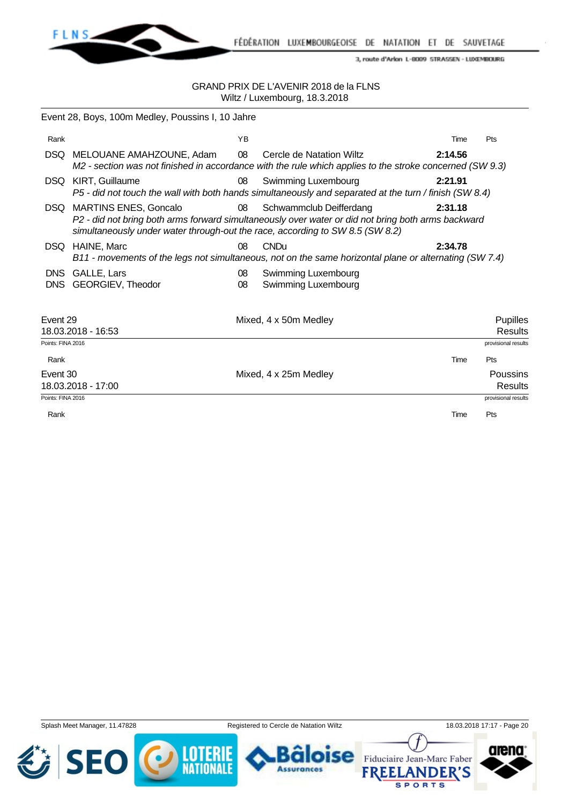

FÉDÉRATION LUXEMBOURGEOISE DE NATATION ET DE SAUVETAGE

3, route d'Arlon L-8009 STRASSEN - LUXEMBOURG

|                          | Event 28, Boys, 100m Medley, Poussins I, 10 Jahre                                                             |          |                                                                                                                                      |         |                                   |
|--------------------------|---------------------------------------------------------------------------------------------------------------|----------|--------------------------------------------------------------------------------------------------------------------------------------|---------|-----------------------------------|
| Rank                     |                                                                                                               | YB       |                                                                                                                                      | Time    | Pts                               |
|                          | DSQ MELOUANE AMAHZOUNE, Adam                                                                                  | 08       | Cercle de Natation Wiltz<br>M2 - section was not finished in accordance with the rule which applies to the stroke concerned (SW 9.3) | 2:14.56 |                                   |
|                          | DSQ KIRT, Guillaume                                                                                           | 08       | Swimming Luxembourg<br>P5 - did not touch the wall with both hands simultaneously and separated at the turn / finish (SW 8.4)        | 2:21.91 |                                   |
| DSQ.                     | <b>MARTINS ENES, Goncalo</b><br>simultaneously under water through-out the race, according to SW 8.5 (SW 8.2) | 08       | Schwammclub Deifferdang<br>P2 - did not bring both arms forward simultaneously over water or did not bring both arms backward        | 2:31.18 |                                   |
|                          | DSQ HAINE, Marc                                                                                               | 08       | <b>CNDu</b><br>B11 - movements of the legs not simultaneous, not on the same horizontal plane or alternating (SW 7.4)                | 2:34.78 |                                   |
| <b>DNS</b><br><b>DNS</b> | GALLE, Lars<br>GEORGIEV, Theodor                                                                              | 08<br>08 | <b>Swimming Luxembourg</b><br>Swimming Luxembourg                                                                                    |         |                                   |
| Event 29                 | 18.03.2018 - 16:53                                                                                            |          | Mixed, 4 x 50m Medley                                                                                                                |         | <b>Pupilles</b><br><b>Results</b> |
| Points: FINA 2016        |                                                                                                               |          |                                                                                                                                      |         | provisional results               |
| Rank                     |                                                                                                               |          |                                                                                                                                      | Time    | Pts                               |
| Event 30                 | 18.03.2018 - 17:00                                                                                            |          | Mixed, 4 x 25m Medley                                                                                                                |         | <b>Poussins</b><br><b>Results</b> |
| Points: FINA 2016        |                                                                                                               |          |                                                                                                                                      |         | provisional results               |
| Rank                     |                                                                                                               |          |                                                                                                                                      | Time    | Pts                               |